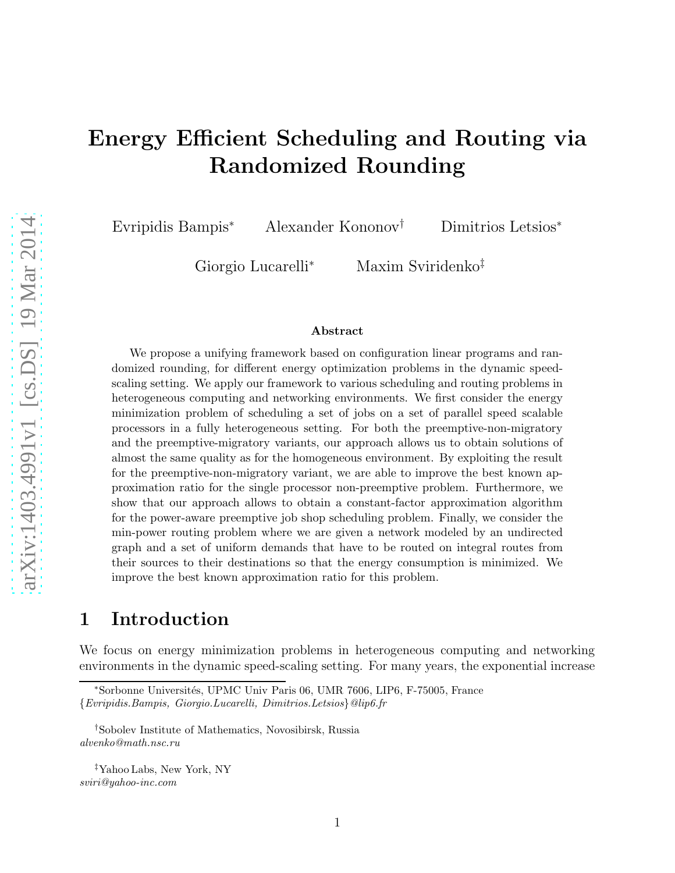# Energy Efficient Scheduling and Routing via Randomized Rounding

Evripidis Bampis<sup>∗</sup> Alexander Kononov† Dimitrios Letsios<sup>∗</sup>

Giorgio Lucarelli<sup>∗</sup> Maxim Sviridenko‡

#### Abstract

We propose a unifying framework based on configuration linear programs and randomized rounding, for different energy optimization problems in the dynamic speedscaling setting. We apply our framework to various scheduling and routing problems in heterogeneous computing and networking environments. We first consider the energy minimization problem of scheduling a set of jobs on a set of parallel speed scalable processors in a fully heterogeneous setting. For both the preemptive-non-migratory and the preemptive-migratory variants, our approach allows us to obtain solutions of almost the same quality as for the homogeneous environment. By exploiting the result for the preemptive-non-migratory variant, we are able to improve the best known approximation ratio for the single processor non-preemptive problem. Furthermore, we show that our approach allows to obtain a constant-factor approximation algorithm for the power-aware preemptive job shop scheduling problem. Finally, we consider the min-power routing problem where we are given a network modeled by an undirected graph and a set of uniform demands that have to be routed on integral routes from their sources to their destinations so that the energy consumption is minimized. We improve the best known approximation ratio for this problem.

# 1 Introduction

We focus on energy minimization problems in heterogeneous computing and networking environments in the dynamic speed-scaling setting. For many years, the exponential increase

<sup>∗</sup>Sorbonne Universit´es, UPMC Univ Paris 06, UMR 7606, LIP6, F-75005, France {Evripidis.Bampis, Giorgio.Lucarelli, Dimitrios.Letsios}@lip6.fr

<sup>†</sup>Sobolev Institute of Mathematics, Novosibirsk, Russia alvenko@math.nsc.ru

<sup>‡</sup>Yahoo Labs, New York, NY sviri@yahoo-inc.com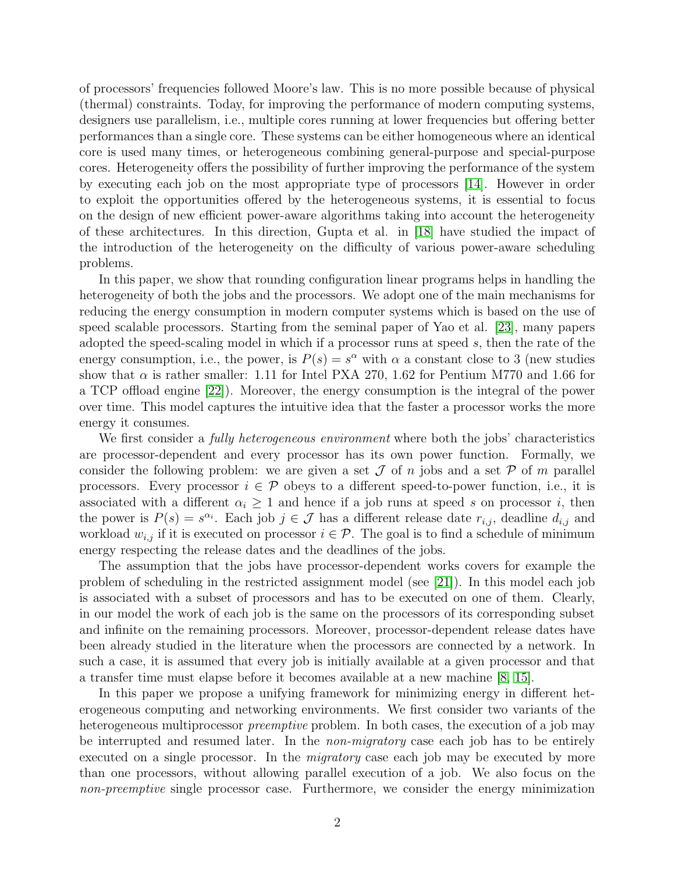of processors' frequencies followed Moore's law. This is no more possible because of physical (thermal) constraints. Today, for improving the performance of modern computing systems, designers use parallelism, i.e., multiple cores running at lower frequencies but offering better performances than a single core. These systems can be either homogeneous where an identical core is used many times, or heterogeneous combining general-purpose and special-purpose cores. Heterogeneity offers the possibility of further improving the performance of the system by executing each job on the most appropriate type of processors [\[14\]](#page-25-0). However in order to exploit the opportunities offered by the heterogeneous systems, it is essential to focus on the design of new efficient power-aware algorithms taking into account the heterogeneity of these architectures. In this direction, Gupta et al. in [\[18\]](#page-26-0) have studied the impact of the introduction of the heterogeneity on the difficulty of various power-aware scheduling problems.

In this paper, we show that rounding configuration linear programs helps in handling the heterogeneity of both the jobs and the processors. We adopt one of the main mechanisms for reducing the energy consumption in modern computer systems which is based on the use of speed scalable processors. Starting from the seminal paper of Yao et al. [\[23\]](#page-26-1), many papers adopted the speed-scaling model in which if a processor runs at speed s, then the rate of the energy consumption, i.e., the power, is  $P(s) = s^{\alpha}$  with  $\alpha$  a constant close to 3 (new studies show that  $\alpha$  is rather smaller: 1.11 for Intel PXA 270, 1.62 for Pentium M770 and 1.66 for a TCP offload engine [\[22\]](#page-26-2)). Moreover, the energy consumption is the integral of the power over time. This model captures the intuitive idea that the faster a processor works the more energy it consumes.

We first consider a *fully heterogeneous environment* where both the jobs' characteristics are processor-dependent and every processor has its own power function. Formally, we consider the following problem: we are given a set  $\mathcal J$  of n jobs and a set  $\mathcal P$  of m parallel processors. Every processor  $i \in \mathcal{P}$  obeys to a different speed-to-power function, i.e., it is associated with a different  $\alpha_i \geq 1$  and hence if a job runs at speed s on processor i, then the power is  $P(s) = s^{\alpha_i}$ . Each job  $j \in \mathcal{J}$  has a different release date  $r_{i,j}$ , deadline  $d_{i,j}$  and workload  $w_{i,j}$  if it is executed on processor  $i \in \mathcal{P}$ . The goal is to find a schedule of minimum energy respecting the release dates and the deadlines of the jobs.

The assumption that the jobs have processor-dependent works covers for example the problem of scheduling in the restricted assignment model (see [\[21\]](#page-26-3)). In this model each job is associated with a subset of processors and has to be executed on one of them. Clearly, in our model the work of each job is the same on the processors of its corresponding subset and infinite on the remaining processors. Moreover, processor-dependent release dates have been already studied in the literature when the processors are connected by a network. In such a case, it is assumed that every job is initially available at a given processor and that a transfer time must elapse before it becomes available at a new machine [\[8,](#page-25-1) [15\]](#page-25-2).

In this paper we propose a unifying framework for minimizing energy in different heterogeneous computing and networking environments. We first consider two variants of the heterogeneous multiprocessor *preemptive* problem. In both cases, the execution of a job may be interrupted and resumed later. In the *non-migratory* case each job has to be entirely executed on a single processor. In the *migratory* case each job may be executed by more than one processors, without allowing parallel execution of a job. We also focus on the non-preemptive single processor case. Furthermore, we consider the energy minimization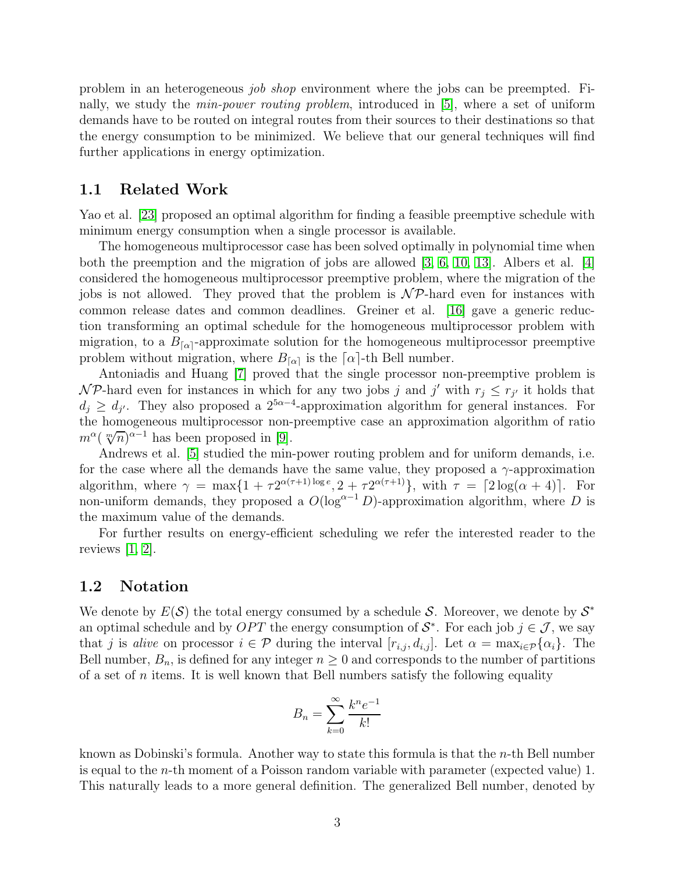problem in an heterogeneous job shop environment where the jobs can be preempted. Finally, we study the min-power routing problem, introduced in [\[5\]](#page-25-3), where a set of uniform demands have to be routed on integral routes from their sources to their destinations so that the energy consumption to be minimized. We believe that our general techniques will find further applications in energy optimization.

### 1.1 Related Work

Yao et al. [\[23\]](#page-26-1) proposed an optimal algorithm for finding a feasible preemptive schedule with minimum energy consumption when a single processor is available.

The homogeneous multiprocessor case has been solved optimally in polynomial time when both the preemption and the migration of jobs are allowed  $[3, 6, 10, 13]$  $[3, 6, 10, 13]$  $[3, 6, 10, 13]$  $[3, 6, 10, 13]$ . Albers et al.  $[4]$ considered the homogeneous multiprocessor preemptive problem, where the migration of the jobs is not allowed. They proved that the problem is  $\mathcal{NP}$ -hard even for instances with common release dates and common deadlines. Greiner et al. [\[16\]](#page-25-9) gave a generic reduction transforming an optimal schedule for the homogeneous multiprocessor problem with migration, to a  $B_{\lceil \alpha \rceil}$ -approximate solution for the homogeneous multiprocessor preemptive problem without migration, where  $B_{\lceil \alpha \rceil}$  is the  $\lceil \alpha \rceil$ -th Bell number.

Antoniadis and Huang [\[7\]](#page-25-10) proved that the single processor non-preemptive problem is  $\mathcal{NP}$ -hard even for instances in which for any two jobs j and j' with  $r_j \leq r_{j'}$  it holds that  $d_j \geq d_{j'}$ . They also proposed a  $2^{5\alpha-4}$ -approximation algorithm for general instances. For the homogeneous multiprocessor non-preemptive case an approximation algorithm of ratio  $m^{\alpha}$  ( $\sqrt[m]{n}$ )<sup> $\alpha$ -1</sup> has been proposed in [\[9\]](#page-25-11).

Andrews et al. [\[5\]](#page-25-3) studied the min-power routing problem and for uniform demands, i.e. for the case where all the demands have the same value, they proposed a  $\gamma$ -approximation algorithm, where  $\gamma = \max\{1 + \tau 2^{\alpha(\tau+1)\log e}, 2 + \tau 2^{\alpha(\tau+1)}\}$ , with  $\tau = \lceil 2\log(\alpha + 4)\rceil$ . For non-uniform demands, they proposed a  $O(\log^{\alpha-1} D)$ -approximation algorithm, where D is the maximum value of the demands.

For further results on energy-efficient scheduling we refer the interested reader to the reviews [\[1,](#page-25-12) [2\]](#page-25-13).

#### 1.2 Notation

We denote by  $E(S)$  the total energy consumed by a schedule S. Moreover, we denote by  $S^*$ an optimal schedule and by  $OPT$  the energy consumption of  $S^*$ . For each job  $j \in \mathcal{J}$ , we say that j is alive on processor  $i \in \mathcal{P}$  during the interval  $[r_{i,j}, d_{i,j}]$ . Let  $\alpha = \max_{i \in \mathcal{P}} {\{\alpha_i\}}$ . The Bell number,  $B_n$ , is defined for any integer  $n \geq 0$  and corresponds to the number of partitions of a set of  $n$  items. It is well known that Bell numbers satisfy the following equality

$$
B_n = \sum_{k=0}^{\infty} \frac{k^n e^{-1}}{k!}
$$

known as Dobinski's formula. Another way to state this formula is that the n-th Bell number is equal to the n-th moment of a Poisson random variable with parameter (expected value) 1. This naturally leads to a more general definition. The generalized Bell number, denoted by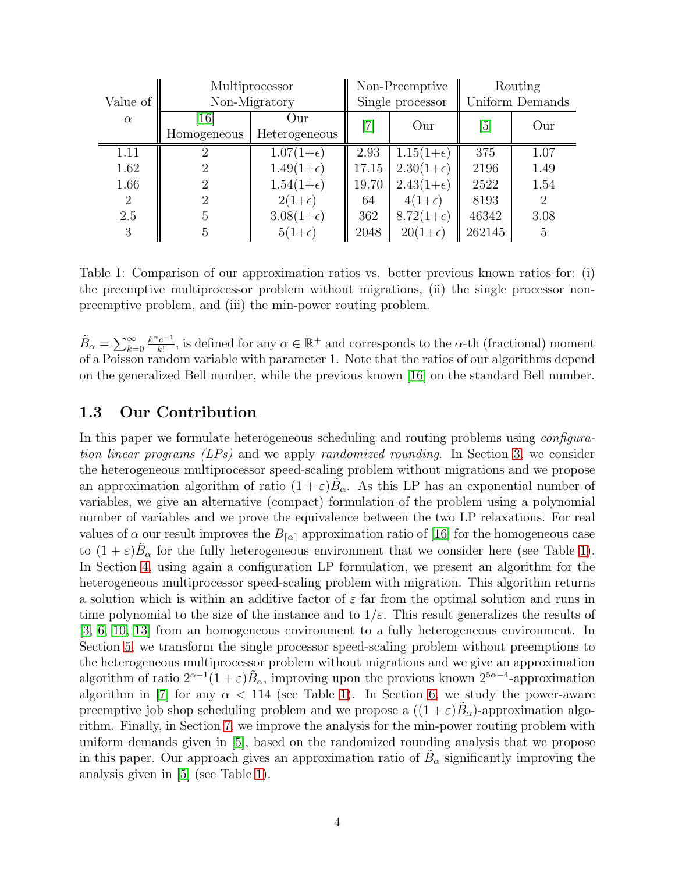|                | Multiprocessor     |                    | Non-Preemptive               |                    | Routing          |                |
|----------------|--------------------|--------------------|------------------------------|--------------------|------------------|----------------|
| Value of       | Non-Migratory      |                    | Single processor             |                    | Uniform Demands  |                |
| $\alpha$       | $\lceil 16 \rceil$ | Our)               | $\left\lceil 7 \right\rceil$ | Our                | $\left[5\right]$ | Our            |
|                | Homogeneous        | Heterogeneous      |                              |                    |                  |                |
| 1.11           | 2                  | $1.07(1+\epsilon)$ | 2.93                         | $1.15(1+\epsilon)$ | 375              | 1.07           |
| 1.62           | 2                  | $1.49(1+\epsilon)$ | 17.15                        | $2.30(1+\epsilon)$ | 2196             | 1.49           |
| 1.66           | 2                  | $1.54(1+\epsilon)$ | 19.70                        | $2.43(1+\epsilon)$ | 2522             | 1.54           |
| $\overline{2}$ | 2                  | $2(1+\epsilon)$    | 64                           | $4(1+\epsilon)$    | 8193             | $\overline{2}$ |
| 2.5            | 5                  | $3.08(1+\epsilon)$ | 362                          | $8.72(1+\epsilon)$ | 46342            | 3.08           |
| 3              | 5                  | $5(1+\epsilon)$    | 2048                         | $20(1+\epsilon)$   | 262145           | 5              |

<span id="page-3-0"></span>Table 1: Comparison of our approximation ratios vs. better previous known ratios for: (i) the preemptive multiprocessor problem without migrations, (ii) the single processor nonpreemptive problem, and (iii) the min-power routing problem.

 $\tilde{B}_{\alpha} = \sum_{k=0}^{\infty}$  $k^{\alpha}e^{-1}$  $\frac{e^{-1}}{k!}$ , is defined for any  $\alpha \in \mathbb{R}^+$  and corresponds to the  $\alpha$ -th (fractional) moment of a Poisson random variable with parameter 1. Note that the ratios of our algorithms depend on the generalized Bell number, while the previous known [\[16\]](#page-25-9) on the standard Bell number.

### 1.3 Our Contribution

In this paper we formulate heterogeneous scheduling and routing problems using configuration linear programs (LPs) and we apply randomized rounding. In Section [3,](#page-7-0) we consider the heterogeneous multiprocessor speed-scaling problem without migrations and we propose an approximation algorithm of ratio  $(1 + \varepsilon)B_\alpha$ . As this LP has an exponential number of variables, we give an alternative (compact) formulation of the problem using a polynomial number of variables and we prove the equivalence between the two LP relaxations. For real values of  $\alpha$  our result improves the  $B_{\lceil \alpha \rceil}$  approximation ratio of [\[16\]](#page-25-9) for the homogeneous case to  $(1+\varepsilon)\tilde{B}_{\alpha}$  for the fully heterogeneous environment that we consider here (see Table [1\)](#page-3-0). In Section [4,](#page-14-0) using again a configuration LP formulation, we present an algorithm for the heterogeneous multiprocessor speed-scaling problem with migration. This algorithm returns a solution which is within an additive factor of  $\varepsilon$  far from the optimal solution and runs in time polynomial to the size of the instance and to  $1/\varepsilon$ . This result generalizes the results of [\[3,](#page-25-4) [6,](#page-25-5) [10,](#page-25-6) [13\]](#page-25-7) from an homogeneous environment to a fully heterogeneous environment. In Section [5,](#page-17-0) we transform the single processor speed-scaling problem without preemptions to the heterogeneous multiprocessor problem without migrations and we give an approximation algorithm of ratio  $2^{\alpha-1}(1+\varepsilon)\tilde{B}_{\alpha}$ , improving upon the previous known  $2^{5\alpha-4}$ -approximation algorithm in [\[7\]](#page-25-10) for any  $\alpha$  < 114 (see Table [1\)](#page-3-0). In Section [6,](#page-18-0) we study the power-aware preemptive job shop scheduling problem and we propose a  $((1+\varepsilon)\tilde{B}_{\alpha})$ -approximation algorithm. Finally, in Section [7,](#page-22-0) we improve the analysis for the min-power routing problem with uniform demands given in [\[5\]](#page-25-3), based on the randomized rounding analysis that we propose in this paper. Our approach gives an approximation ratio of  $\tilde{B}_{\alpha}$  significantly improving the analysis given in [\[5\]](#page-25-3) (see Table [1\)](#page-3-0).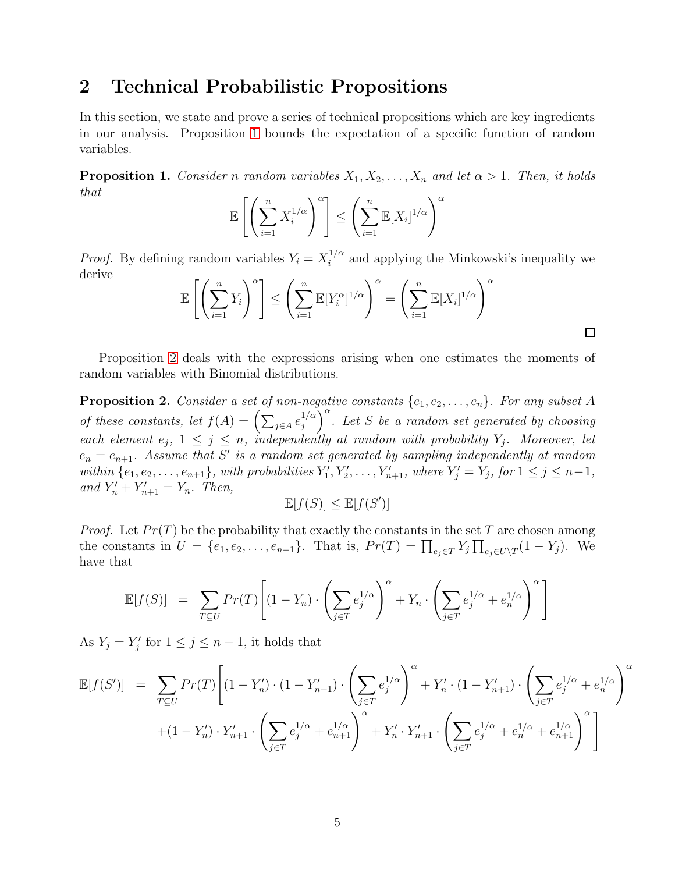### 2 Technical Probabilistic Propositions

In this section, we state and prove a series of technical propositions which are key ingredients in our analysis. Proposition [1](#page-4-0) bounds the expectation of a specific function of random variables.

<span id="page-4-0"></span>**Proposition 1.** Consider n random variables  $X_1, X_2, \ldots, X_n$  and let  $\alpha > 1$ . Then, it holds that

$$
\mathbb{E}\left[\left(\sum_{i=1}^n X_i^{1/\alpha}\right)^{\alpha}\right] \le \left(\sum_{i=1}^n \mathbb{E}[X_i]^{1/\alpha}\right)^{\alpha}
$$

*Proof.* By defining random variables  $Y_i = X_i^{1/\alpha}$  $i^{1/\alpha}$  and applying the Minkowski's inequality we derive

$$
\mathbb{E}\left[\left(\sum_{i=1}^n Y_i\right)^{\alpha}\right] \le \left(\sum_{i=1}^n \mathbb{E}[Y_i^{\alpha}]^{1/\alpha}\right)^{\alpha} = \left(\sum_{i=1}^n \mathbb{E}[X_i]^{1/\alpha}\right)^{\alpha}
$$

 $\Box$ 

Proposition [2](#page-4-1) deals with the expressions arising when one estimates the moments of random variables with Binomial distributions.

<span id="page-4-1"></span>**Proposition 2.** Consider a set of non-negative constants  $\{e_1, e_2, \ldots, e_n\}$ . For any subset A of these constants, let  $f(A) = \left(\sum_{j \in A} e_j^{1/\alpha}\right)$  $\left(\begin{matrix}1/\alpha\\j\end{matrix}\right)^{\alpha}$ . Let S be a random set generated by choosing each element  $e_j$ ,  $1 \leq j \leq n$ , independently at random with probability  $Y_j$ . Moreover, let  $e_n = e_{n+1}$ . Assume that S' is a random set generated by sampling independently at random within  $\{e_1, e_2, \ldots, e_{n+1}\}\$ , with probabilities  $Y'_1, Y'_2, \ldots, Y'_{n+1}$ , where  $Y'_j = Y_j$ , for  $1 \leq j \leq n-1$ , and  $Y'_n + Y'_{n+1} = Y_n$ . Then,

$$
\mathbb{E}[f(S)] \le \mathbb{E}[f(S')]
$$

*Proof.* Let  $Pr(T)$  be the probability that exactly the constants in the set T are chosen among the constants in  $U = \{e_1, e_2, \ldots, e_{n-1}\}.$  That is,  $Pr(T) = \prod_{e_j \in T} Y_j \prod_{e_j \in U \setminus T} (1 - Y_j).$  We have that

$$
\mathbb{E}[f(S)] = \sum_{T \subseteq U} Pr(T) \left[ (1 - Y_n) \cdot \left( \sum_{j \in T} e_j^{1/\alpha} \right)^{\alpha} + Y_n \cdot \left( \sum_{j \in T} e_j^{1/\alpha} + e_n^{1/\alpha} \right)^{\alpha} \right]
$$

As  $Y_j = Y'_j$  for  $1 \le j \le n - 1$ , it holds that

$$
\mathbb{E}[f(S')] = \sum_{T \subseteq U} Pr(T) \left[ (1 - Y'_n) \cdot (1 - Y'_{n+1}) \cdot \left( \sum_{j \in T} e_j^{1/\alpha} \right)^{\alpha} + Y'_n \cdot (1 - Y'_{n+1}) \cdot \left( \sum_{j \in T} e_j^{1/\alpha} + e_n^{1/\alpha} \right)^{\alpha} \right] + (1 - Y'_n) \cdot Y'_{n+1} \cdot \left( \sum_{j \in T} e_j^{1/\alpha} + e_{n+1}^{1/\alpha} \right)^{\alpha} + Y'_n \cdot Y'_{n+1} \cdot \left( \sum_{j \in T} e_j^{1/\alpha} + e_n^{1/\alpha} + e_{n+1}^{1/\alpha} \right)^{\alpha} \right]
$$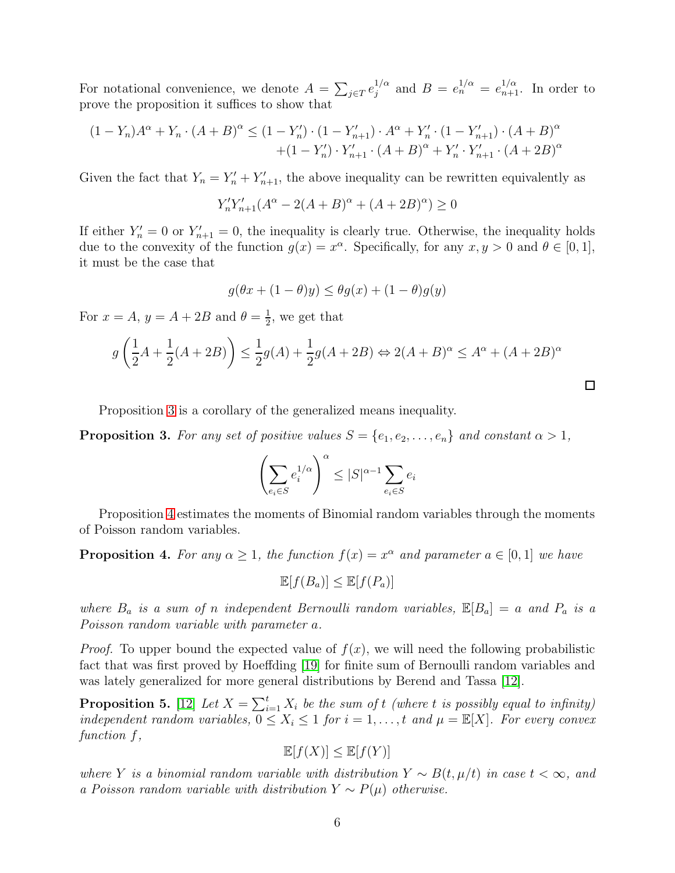For notational convenience, we denote  $A = \sum_{j \in T} e_j^{1/\alpha}$  $j^{1/\alpha}$  and  $B = e_n^{1/\alpha} = e_{n+1}^{1/\alpha}$ . In order to prove the proposition it suffices to show that

$$
(1 - Y_n)A^{\alpha} + Y_n \cdot (A + B)^{\alpha} \le (1 - Y_n') \cdot (1 - Y_{n+1}') \cdot A^{\alpha} + Y_n' \cdot (1 - Y_{n+1}') \cdot (A + B)^{\alpha} + (1 - Y_n') \cdot Y_{n+1}' \cdot (A + B)^{\alpha} + Y_n' \cdot Y_{n+1}' \cdot (A + 2B)^{\alpha}
$$

Given the fact that  $Y_n = Y'_n + Y'_{n+1}$ , the above inequality can be rewritten equivalently as

$$
Y_n' Y_{n+1}' (A^{\alpha} - 2(A + B)^{\alpha} + (A + 2B)^{\alpha}) \ge 0
$$

If either  $Y'_n = 0$  or  $Y'_{n+1} = 0$ , the inequality is clearly true. Otherwise, the inequality holds due to the convexity of the function  $g(x) = x^{\alpha}$ . Specifically, for any  $x, y > 0$  and  $\theta \in [0, 1]$ , it must be the case that

$$
g(\theta x + (1 - \theta)y) \le \theta g(x) + (1 - \theta)g(y)
$$

For  $x = A$ ,  $y = A + 2B$  and  $\theta = \frac{1}{2}$  $\frac{1}{2}$ , we get that

$$
g\left(\frac{1}{2}A + \frac{1}{2}(A + 2B)\right) \le \frac{1}{2}g(A) + \frac{1}{2}g(A + 2B) \Leftrightarrow 2(A + B)^{\alpha} \le A^{\alpha} + (A + 2B)^{\alpha}
$$

Proposition [3](#page-5-0) is a corollary of the generalized means inequality.

<span id="page-5-0"></span>**Proposition 3.** For any set of positive values  $S = \{e_1, e_2, \ldots, e_n\}$  and constant  $\alpha > 1$ ,

$$
\left(\sum_{e_i \in S} e_i^{1/\alpha}\right)^\alpha \leq |S|^{\alpha-1} \sum_{e_i \in S} e_i
$$

Proposition [4](#page-5-1) estimates the moments of Binomial random variables through the moments of Poisson random variables.

<span id="page-5-1"></span>**Proposition 4.** For any  $\alpha \geq 1$ , the function  $f(x) = x^{\alpha}$  and parameter  $a \in [0, 1]$  we have

 $\mathbb{E}[f(B_a)] \leq \mathbb{E}[f(P_a)]$ 

where  $B_a$  is a sum of n independent Bernoulli random variables,  $\mathbb{E}[B_a] = a$  and  $P_a$  is a Poisson random variable with parameter a.

*Proof.* To upper bound the expected value of  $f(x)$ , we will need the following probabilistic fact that was first proved by Hoeffding [\[19\]](#page-26-4) for finite sum of Bernoulli random variables and was lately generalized for more general distributions by Berend and Tassa [\[12\]](#page-25-14).

<span id="page-5-2"></span>**Proposition 5.** [\[12\]](#page-25-14) Let  $X = \sum_{i=1}^{t} X_i$  be the sum of t (where t is possibly equal to infinity) independent random variables,  $0 \leq X_i \leq 1$  for  $i = 1, ..., t$  and  $\mu = \mathbb{E}[X]$ . For every convex function f,

$$
\mathbb{E}[f(X)] \le \mathbb{E}[f(Y)]
$$

where Y is a binomial random variable with distribution  $Y \sim B(t, \mu/t)$  in case  $t < \infty$ , and a Poisson random variable with distribution  $Y \sim P(\mu)$  otherwise.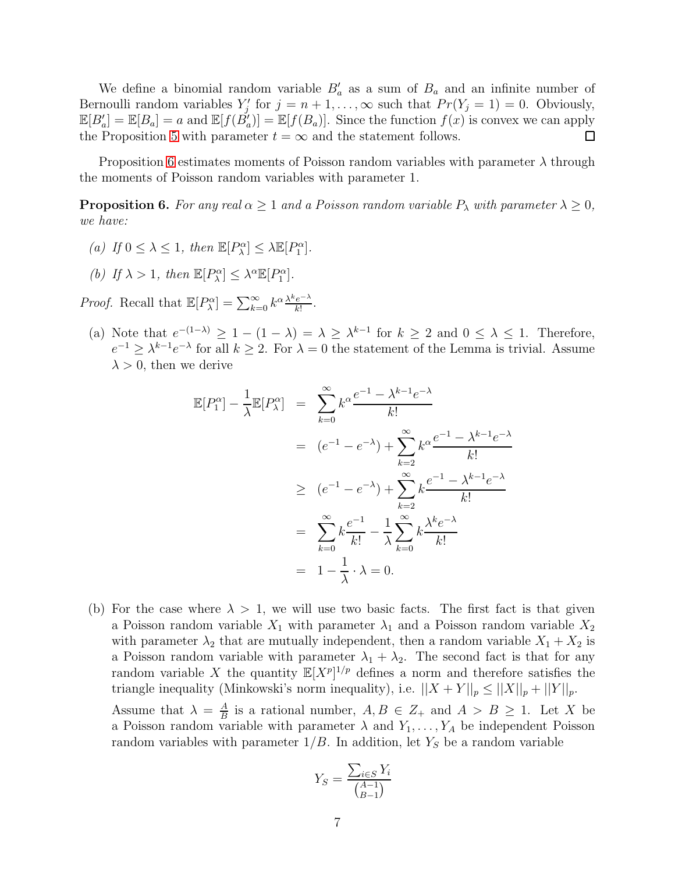We define a binomial random variable  $B'_a$  as a sum of  $B_a$  and an infinite number of Bernoulli random variables  $Y'_j$  for  $j = n + 1, ..., \infty$  such that  $Pr(Y_j = 1) = 0$ . Obviously,  $\mathbb{E}[B'_a] = \mathbb{E}[B_a] = a$  and  $\mathbb{E}[f(\check{B}'_a)] = \mathbb{E}[f(B_a)]$ . Since the function  $f(x)$  is convex we can apply the Proposition [5](#page-5-2) with parameter  $t = \infty$  and the statement follows.  $\Box$ 

Proposition [6](#page-6-0) estimates moments of Poisson random variables with parameter  $\lambda$  through the moments of Poisson random variables with parameter 1.

<span id="page-6-0"></span>**Proposition 6.** For any real  $\alpha \geq 1$  and a Poisson random variable  $P_{\lambda}$  with parameter  $\lambda \geq 0$ , we have:

- (a) If  $0 \leq \lambda \leq 1$ , then  $\mathbb{E}[P^{\alpha}_{\lambda}] \leq \lambda \mathbb{E}[P^{\alpha}_{1}].$
- (b) If  $\lambda > 1$ , then  $\mathbb{E}[P^{\alpha}_{\lambda}] \leq \lambda^{\alpha} \mathbb{E}[P^{\alpha}_{1}]$ .

*Proof.* Recall that  $\mathbb{E}[P_{\lambda}^{\alpha}] = \sum_{k=0}^{\infty} k^{\alpha} \frac{\lambda^k e^{-\lambda}}{k!}$  $rac{e^{-\lambda}}{k!}$ .

(a) Note that  $e^{-(1-\lambda)} \geq 1 - (1-\lambda) = \lambda \geq \lambda^{k-1}$  for  $k \geq 2$  and  $0 \leq \lambda \leq 1$ . Therefore,  $e^{-1} \geq \lambda^{k-1} e^{-\lambda}$  for all  $k \geq 2$ . For  $\lambda = 0$  the statement of the Lemma is trivial. Assume  $\lambda > 0$ , then we derive

$$
\mathbb{E}[P_1^{\alpha}] - \frac{1}{\lambda} \mathbb{E}[P_{\lambda}^{\alpha}] = \sum_{k=0}^{\infty} k^{\alpha} \frac{e^{-1} - \lambda^{k-1} e^{-\lambda}}{k!}
$$
  
\n
$$
= (e^{-1} - e^{-\lambda}) + \sum_{k=2}^{\infty} k^{\alpha} \frac{e^{-1} - \lambda^{k-1} e^{-\lambda}}{k!}
$$
  
\n
$$
\geq (e^{-1} - e^{-\lambda}) + \sum_{k=2}^{\infty} k \frac{e^{-1} - \lambda^{k-1} e^{-\lambda}}{k!}
$$
  
\n
$$
= \sum_{k=0}^{\infty} k \frac{e^{-1}}{k!} - \frac{1}{\lambda} \sum_{k=0}^{\infty} k \frac{\lambda^k e^{-\lambda}}{k!}
$$
  
\n
$$
= 1 - \frac{1}{\lambda} \cdot \lambda = 0.
$$

(b) For the case where  $\lambda > 1$ , we will use two basic facts. The first fact is that given a Poisson random variable  $X_1$  with parameter  $\lambda_1$  and a Poisson random variable  $X_2$ with parameter  $\lambda_2$  that are mutually independent, then a random variable  $X_1 + X_2$  is a Poisson random variable with parameter  $\lambda_1 + \lambda_2$ . The second fact is that for any random variable X the quantity  $\mathbb{E}[X^p]^{1/p}$  defines a norm and therefore satisfies the triangle inequality (Minkowski's norm inequality), i.e.  $||X + Y||_p \le ||X||_p + ||Y||_p$ .

Assume that  $\lambda = \frac{A}{B}$  $\frac{A}{B}$  is a rational number,  $A, B \in \mathbb{Z}_+$  and  $A > B \geq 1$ . Let X be a Poisson random variable with parameter  $\lambda$  and  $Y_1, \ldots, Y_A$  be independent Poisson random variables with parameter  $1/B$ . In addition, let  $Y<sub>S</sub>$  be a random variable

$$
Y_S = \frac{\sum_{i \in S} Y_i}{\binom{A-1}{B-1}}
$$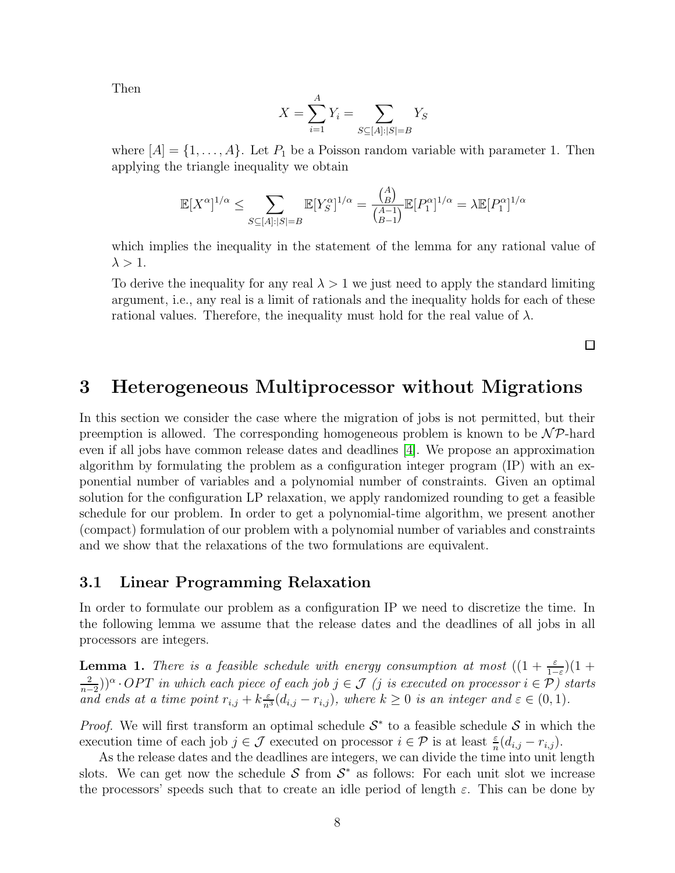Then

$$
X = \sum_{i=1}^{A} Y_i = \sum_{S \subseteq [A]:|S|=B} Y_S
$$

where  $[A] = \{1, \ldots, A\}$ . Let  $P_1$  be a Poisson random variable with parameter 1. Then applying the triangle inequality we obtain

$$
\mathbb{E}[X^{\alpha}]^{1/\alpha} \le \sum_{S \subseteq [A]:|S|=B} \mathbb{E}[Y_S^{\alpha}]^{1/\alpha} = \frac{\binom{A}{B}}{\binom{A-1}{B-1}} \mathbb{E}[P_1^{\alpha}]^{1/\alpha} = \lambda \mathbb{E}[P_1^{\alpha}]^{1/\alpha}
$$

which implies the inequality in the statement of the lemma for any rational value of  $\lambda > 1$ .

To derive the inequality for any real  $\lambda > 1$  we just need to apply the standard limiting argument, i.e., any real is a limit of rationals and the inequality holds for each of these rational values. Therefore, the inequality must hold for the real value of  $\lambda$ .

 $\square$ 

### <span id="page-7-0"></span>3 Heterogeneous Multiprocessor without Migrations

In this section we consider the case where the migration of jobs is not permitted, but their preemption is allowed. The corresponding homogeneous problem is known to be  $\mathcal{NP}$ -hard even if all jobs have common release dates and deadlines [\[4\]](#page-25-8). We propose an approximation algorithm by formulating the problem as a configuration integer program (IP) with an exponential number of variables and a polynomial number of constraints. Given an optimal solution for the configuration LP relaxation, we apply randomized rounding to get a feasible schedule for our problem. In order to get a polynomial-time algorithm, we present another (compact) formulation of our problem with a polynomial number of variables and constraints and we show that the relaxations of the two formulations are equivalent.

### 3.1 Linear Programming Relaxation

In order to formulate our problem as a configuration IP we need to discretize the time. In the following lemma we assume that the release dates and the deadlines of all jobs in all processors are integers.

<span id="page-7-1"></span>**Lemma 1.** There is a feasible schedule with energy consumption at most  $((1 + \frac{\varepsilon}{1-\varepsilon})(1 +$ 2  $\frac{2}{n-2})$ <sup>o</sup> · OPT in which each piece of each job  $j \in \mathcal{J}$  (j is executed on processor  $i \in \mathcal{P}$ ) starts and ends at a time point  $r_{i,j} + k \frac{\varepsilon}{n^3} (d_{i,j} - r_{i,j})$ , where  $k \ge 0$  is an integer and  $\varepsilon \in (0,1)$ .

*Proof.* We will first transform an optimal schedule  $S^*$  to a feasible schedule S in which the execution time of each job  $j \in \mathcal{J}$  executed on processor  $i \in \mathcal{P}$  is at least  $\frac{\varepsilon}{n}(d_{i,j} - r_{i,j})$ .

As the release dates and the deadlines are integers, we can divide the time into unit length slots. We can get now the schedule  $S$  from  $S^*$  as follows: For each unit slot we increase the processors' speeds such that to create an idle period of length  $\varepsilon$ . This can be done by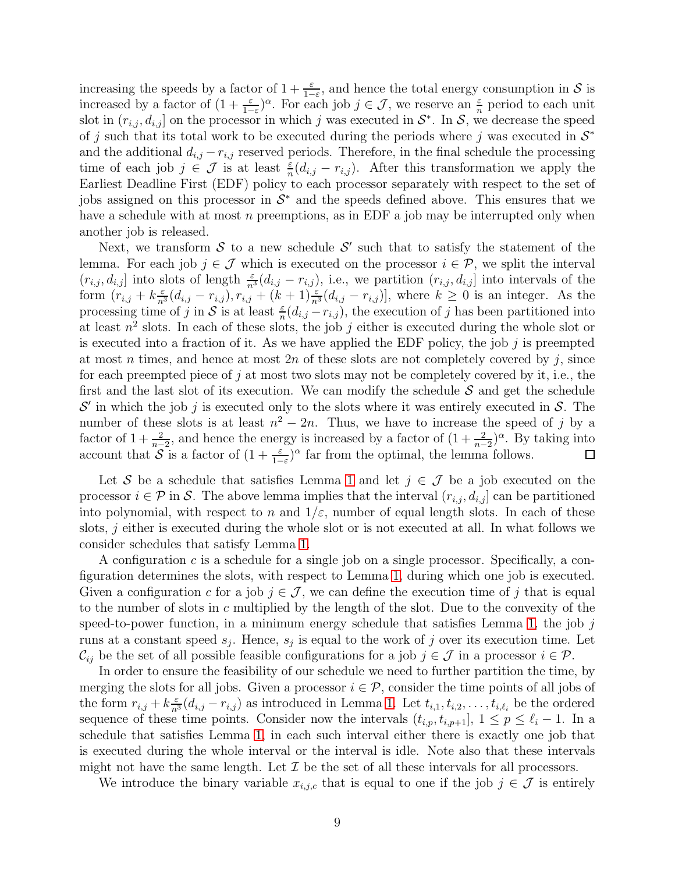increasing the speeds by a factor of  $1 + \frac{\varepsilon}{1 - \varepsilon}$ , and hence the total energy consumption in S is increased by a factor of  $(1 + \frac{\varepsilon}{1-\varepsilon})^{\alpha}$ . For each job  $j \in \mathcal{J}$ , we reserve an  $\frac{\varepsilon}{n}$  period to each unit slot in  $(r_{i,j}, d_{i,j}]$  on the processor in which j was executed in  $S^*$ . In S, we decrease the speed of j such that its total work to be executed during the periods where j was executed in  $\mathcal{S}^*$ and the additional  $d_{i,j} - r_{i,j}$  reserved periods. Therefore, in the final schedule the processing time of each job  $j \in \mathcal{J}$  is at least  $\frac{\varepsilon}{n}(d_{i,j} - r_{i,j})$ . After this transformation we apply the Earliest Deadline First (EDF) policy to each processor separately with respect to the set of jobs assigned on this processor in  $S^*$  and the speeds defined above. This ensures that we have a schedule with at most  $n$  preemptions, as in EDF a job may be interrupted only when another job is released.

Next, we transform  $S$  to a new schedule  $S'$  such that to satisfy the statement of the lemma. For each job  $j \in \mathcal{J}$  which is executed on the processor  $i \in \mathcal{P}$ , we split the interval  $(r_{i,j}, d_{i,j}]$  into slots of length  $\frac{\varepsilon}{n^3}(d_{i,j} - r_{i,j})$ , i.e., we partition  $(r_{i,j}, d_{i,j}]$  into intervals of the form  $(r_{i,j} + k\frac{\varepsilon}{n^3}(d_{i,j} - r_{i,j}), r_{i,j} + (k+1)\frac{\varepsilon}{n^3}(d_{i,j} - r_{i,j})]$ , where  $k \geq 0$  is an integer. As the processing time of j in S is at least  $\frac{\varepsilon}{n}(d_{i,j} - r_{i,j})$ , the execution of j has been partitioned into at least  $n^2$  slots. In each of these slots, the job j either is executed during the whole slot or is executed into a fraction of it. As we have applied the EDF policy, the job  $j$  is preempted at most n times, and hence at most  $2n$  of these slots are not completely covered by j, since for each preempted piece of j at most two slots may not be completely covered by it, i.e., the first and the last slot of its execution. We can modify the schedule  $S$  and get the schedule  $\mathcal{S}'$  in which the job j is executed only to the slots where it was entirely executed in  $\mathcal{S}$ . The number of these slots is at least  $n^2 - 2n$ . Thus, we have to increase the speed of j by a factor of  $1+\frac{2}{n-2}$ , and hence the energy is increased by a factor of  $(1+\frac{2}{n-2})^{\alpha}$ . By taking into account that  $S$  is a factor of  $(1 + \frac{\varepsilon}{1-\varepsilon})^{\alpha}$  far from the optimal, the lemma follows.

Let S be a schedule that satisfies Lemma [1](#page-7-1) and let  $j \in \mathcal{J}$  be a job executed on the processor  $i \in \mathcal{P}$  in S. The above lemma implies that the interval  $(r_{i,j}, d_{i,j}]$  can be partitioned into polynomial, with respect to n and  $1/\varepsilon$ , number of equal length slots. In each of these slots,  $j$  either is executed during the whole slot or is not executed at all. In what follows we consider schedules that satisfy Lemma [1.](#page-7-1)

A configuration c is a schedule for a single job on a single processor. Specifically, a configuration determines the slots, with respect to Lemma [1,](#page-7-1) during which one job is executed. Given a configuration c for a job  $j \in \mathcal{J}$ , we can define the execution time of j that is equal to the number of slots in c multiplied by the length of the slot. Due to the convexity of the speed-to-power function, in a minimum energy schedule that satisfies Lemma [1,](#page-7-1) the job  $j$ runs at a constant speed  $s_j$ . Hence,  $s_j$  is equal to the work of j over its execution time. Let  $\mathcal{C}_{ij}$  be the set of all possible feasible configurations for a job  $j \in \mathcal{J}$  in a processor  $i \in \mathcal{P}$ .

In order to ensure the feasibility of our schedule we need to further partition the time, by merging the slots for all jobs. Given a processor  $i \in \mathcal{P}$ , consider the time points of all jobs of the form  $r_{i,j} + k \frac{\varepsilon}{n^3} (d_{i,j} - r_{i,j})$  as introduced in Lemma [1.](#page-7-1) Let  $t_{i,1}, t_{i,2}, \ldots, t_{i,\ell_i}$  be the ordered sequence of these time points. Consider now the intervals  $(t_{i,p}, t_{i,p+1}], 1 \le p \le \ell_i - 1$ . In a schedule that satisfies Lemma [1,](#page-7-1) in each such interval either there is exactly one job that is executed during the whole interval or the interval is idle. Note also that these intervals might not have the same length. Let  $\mathcal I$  be the set of all these intervals for all processors.

We introduce the binary variable  $x_{i,j,c}$  that is equal to one if the job  $j \in \mathcal{J}$  is entirely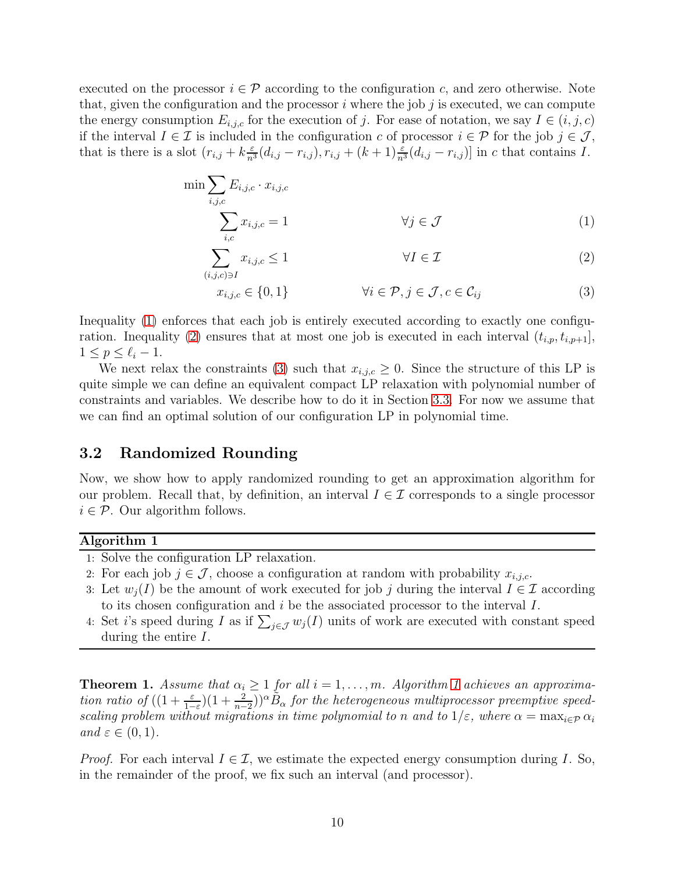executed on the processor  $i \in \mathcal{P}$  according to the configuration c, and zero otherwise. Note that, given the configuration and the processor  $i$  where the job  $j$  is executed, we can compute the energy consumption  $E_{i,j,c}$  for the execution of j. For ease of notation, we say  $I \in (i,j,c)$ if the interval  $I \in \mathcal{I}$  is included in the configuration c of processor  $i \in \mathcal{P}$  for the job  $j \in \mathcal{J}$ , that is there is a slot  $(r_{i,j} + k\frac{\varepsilon}{n^3}(d_{i,j} - r_{i,j}), r_{i,j} + (k+1)\frac{\varepsilon}{n^3}(d_{i,j} - r_{i,j})]$  in c that contains I.

<span id="page-9-0"></span>
$$
\min \sum_{i,j,c} E_{i,j,c} \cdot x_{i,j,c}
$$
\n
$$
\sum_{i,c} x_{i,j,c} = 1 \qquad \forall j \in \mathcal{J}
$$
\n(1)

$$
\sum_{(i,j,c)\ni I} x_{i,j,c} \le 1 \qquad \forall I \in \mathcal{I} \tag{2}
$$

$$
x_{i,j,c} \in \{0,1\} \qquad \forall i \in \mathcal{P}, j \in \mathcal{J}, c \in \mathcal{C}_{ij} \qquad (3)
$$

Inequality [\(1\)](#page-9-0) enforces that each job is entirely executed according to exactly one configu-ration. Inequality [\(2\)](#page-9-0) ensures that at most one job is executed in each interval  $(t_{i,p}, t_{i,p+1}],$  $1 \leq p \leq \ell_i-1$ .

We next relax the constraints [\(3\)](#page-9-0) such that  $x_{i,j,c} \geq 0$ . Since the structure of this LP is quite simple we can define an equivalent compact LP relaxation with polynomial number of constraints and variables. We describe how to do it in Section [3.3.](#page-12-0) For now we assume that we can find an optimal solution of our configuration LP in polynomial time.

### <span id="page-9-3"></span>3.2 Randomized Rounding

Now, we show how to apply randomized rounding to get an approximation algorithm for our problem. Recall that, by definition, an interval  $I \in \mathcal{I}$  corresponds to a single processor  $i \in \mathcal{P}$ . Our algorithm follows.

#### <span id="page-9-1"></span>Algorithm 1

- 1: Solve the configuration LP relaxation.
- 2: For each job  $j \in \mathcal{J}$ , choose a configuration at random with probability  $x_{i,j,c}$ .
- 3: Let  $w_i(I)$  be the amount of work executed for job j during the interval  $I \in \mathcal{I}$  according to its chosen configuration and  $i$  be the associated processor to the interval  $I$ .
- 4: Set *i*'s speed during *I* as if  $\sum_{j\in\mathcal{J}} w_j(I)$  units of work are executed with constant speed during the entire I.

<span id="page-9-2"></span>**Theorem [1](#page-9-1).** Assume that  $\alpha_i \geq 1$  for all  $i = 1, ..., m$ . Algorithm 1 achieves an approximation ratio of  $((1+\frac{\varepsilon}{1-\varepsilon})(1+\frac{2}{n-2}))^{\alpha}\tilde{B}_{\alpha}$  for the heterogeneous multiprocessor preemptive speedscaling problem without migrations in time polynomial to n and to  $1/\varepsilon$ , where  $\alpha = \max_{i \in \mathcal{P}} \alpha_i$ and  $\varepsilon \in (0,1)$ .

*Proof.* For each interval  $I \in \mathcal{I}$ , we estimate the expected energy consumption during I. So, in the remainder of the proof, we fix such an interval (and processor).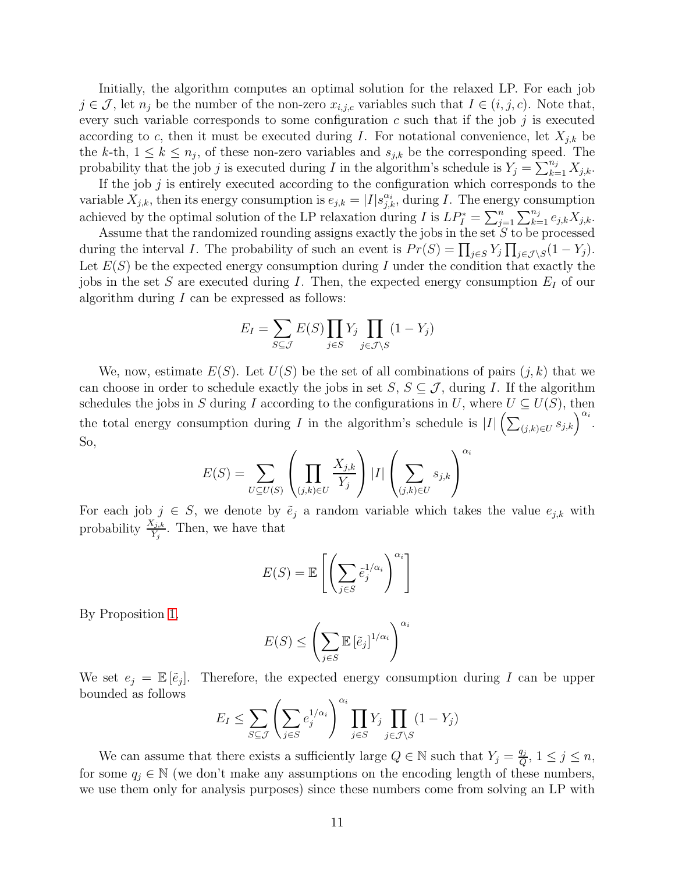Initially, the algorithm computes an optimal solution for the relaxed LP. For each job  $j \in \mathcal{J}$ , let  $n_j$  be the number of the non-zero  $x_{i,j,c}$  variables such that  $I \in (i, j, c)$ . Note that, every such variable corresponds to some configuration  $c$  such that if the job  $j$  is executed according to c, then it must be executed during I. For notational convenience, let  $X_{j,k}$  be the k-th,  $1 \leq k \leq n_j$ , of these non-zero variables and  $s_{j,k}$  be the corresponding speed. The probability that the job j is executed during I in the algorithm's schedule is  $Y_j = \sum_{k=1}^{n_j} X_{j,k}$ .

If the job  $j$  is entirely executed according to the configuration which corresponds to the variable  $X_{j,k}$ , then its energy consumption is  $e_{j,k} = |I| s_{j,k}^{\alpha_i}$ , during I. The energy consumption achieved by the optimal solution of the LP relaxation during I is  $LP_I^* = \sum_{j=1}^n \sum_{k=1}^{n_j} e_{j,k} X_{j,k}$ .

Assume that the randomized rounding assigns exactly the jobs in the set  $S$  to be processed during the interval *I*. The probability of such an event is  $Pr(S) = \prod_{j \in S} Y_j \prod_{j \in J \setminus S} (1 - Y_j)$ . Let  $E(S)$  be the expected energy consumption during I under the condition that exactly the jobs in the set S are executed during I. Then, the expected energy consumption  $E_I$  of our algorithm during  $I$  can be expressed as follows:

$$
E_I = \sum_{S \subseteq \mathcal{J}} E(S) \prod_{j \in S} Y_j \prod_{j \in \mathcal{J} \setminus S} (1 - Y_j)
$$

We, now, estimate  $E(S)$ . Let  $U(S)$  be the set of all combinations of pairs  $(j, k)$  that we can choose in order to schedule exactly the jobs in set  $S, S \subseteq \mathcal{J}$ , during I. If the algorithm schedules the jobs in S during I according to the configurations in U, where  $U \subseteq U(S)$ , then the total energy consumption during I in the algorithm's schedule is  $|I|\left(\sum_{(j,k)\in U} s_{j,k}\right)^{\alpha_i}$ . So,

$$
E(S) = \sum_{U \subseteq U(S)} \left( \prod_{(j,k) \in U} \frac{X_{j,k}}{Y_j} \right) |I| \left( \sum_{(j,k) \in U} s_{j,k} \right)^{\alpha_i}
$$

For each job  $j \in S$ , we denote by  $\tilde{e}_j$  a random variable which takes the value  $e_{j,k}$  with probability  $\frac{X_{j,k}}{Y_j}$ . Then, we have that

$$
E(S) = \mathbb{E}\left[\left(\sum_{j \in S} \tilde{e}_j^{1/\alpha_i}\right)^{\alpha_i}\right]
$$

By Proposition [1,](#page-4-0)

$$
E(S) \le \left(\sum_{j \in S} \mathbb{E}\left[\tilde{e}_j\right]^{1/\alpha_i}\right)^{\alpha_i}
$$

We set  $e_j = \mathbb{E}[\tilde{e}_j]$ . Therefore, the expected energy consumption during I can be upper bounded as follows

$$
E_I \le \sum_{S \subseteq \mathcal{J}} \left( \sum_{j \in S} e_j^{1/\alpha_i} \right)^{\alpha_i} \prod_{j \in S} Y_j \prod_{j \in \mathcal{J} \setminus S} (1 - Y_j)
$$

We can assume that there exists a sufficiently large  $Q \in \mathbb{N}$  such that  $Y_j = \frac{q_j}{Q}$  $\frac{q_j}{Q}$ ,  $1 \leq j \leq n$ , for some  $q_j \in \mathbb{N}$  (we don't make any assumptions on the encoding length of these numbers, we use them only for analysis purposes) since these numbers come from solving an LP with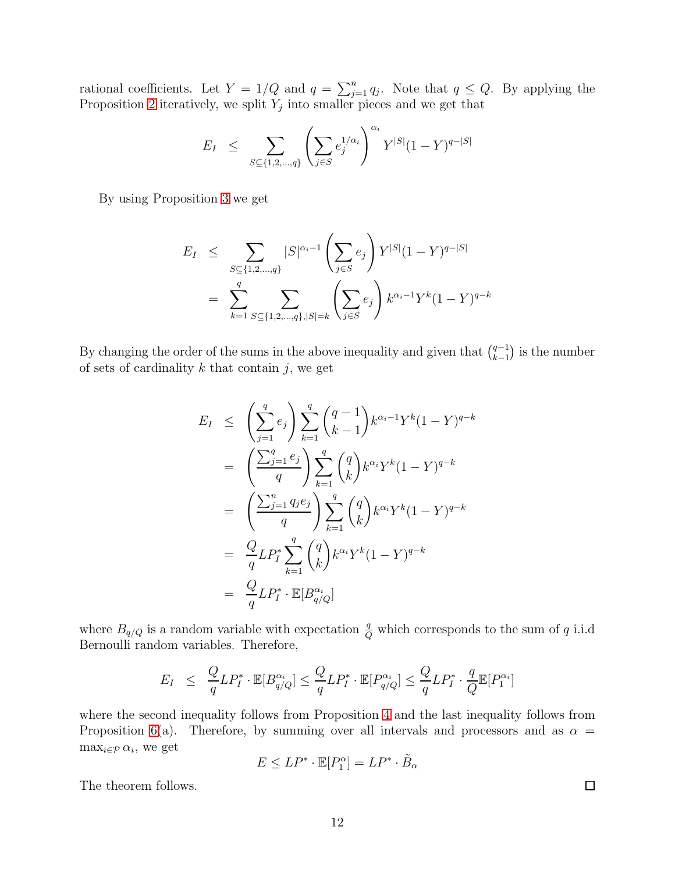rational coefficients. Let  $Y = 1/Q$  and  $q = \sum_{j=1}^{n} q_j$ . Note that  $q \leq Q$ . By applying the Proposition [2](#page-4-1) iteratively, we split  $Y_j$  into smaller pieces and we get that

$$
E_I \ \leq \ \sum_{S \subseteq \{1,2,\ldots,q\}} \left( \sum_{j \in S} e_j^{1/\alpha_i} \right)^{\alpha_i} Y^{|S|} (1-Y)^{q-|S|}
$$

By using Proposition [3](#page-5-0) we get

$$
E_I \leq \sum_{S \subseteq \{1, 2, \dots, q\}} |S|^{\alpha_i - 1} \left( \sum_{j \in S} e_j \right) Y^{|S|} (1 - Y)^{q - |S|}
$$
  
= 
$$
\sum_{k=1}^q \sum_{S \subseteq \{1, 2, \dots, q\}, |S| = k} \left( \sum_{j \in S} e_j \right) k^{\alpha_i - 1} Y^k (1 - Y)^{q - k}
$$

By changing the order of the sums in the above inequality and given that  $\binom{q-1}{k-1}$  $\binom{q-1}{k-1}$  is the number of sets of cardinality  $k$  that contain  $j$ , we get

$$
E_I \leq \left(\sum_{j=1}^q e_j\right) \sum_{k=1}^q {q-1 \choose k-1} k^{\alpha_i-1} Y^k (1-Y)^{q-k}
$$
  
\n
$$
= \left(\frac{\sum_{j=1}^q e_j}{q}\right) \sum_{k=1}^q {q \choose k} k^{\alpha_i} Y^k (1-Y)^{q-k}
$$
  
\n
$$
= \left(\frac{\sum_{j=1}^n q_j e_j}{q}\right) \sum_{k=1}^q {q \choose k} k^{\alpha_i} Y^k (1-Y)^{q-k}
$$
  
\n
$$
= \frac{Q}{q} L P_I^* \sum_{k=1}^q {q \choose k} k^{\alpha_i} Y^k (1-Y)^{q-k}
$$
  
\n
$$
= \frac{Q}{q} L P_I^* \cdot \mathbb{E}[B_{q/Q}^{\alpha_i}]
$$

where  $B_{q/Q}$  is a random variable with expectation  $\frac{q}{Q}$  which corresponds to the sum of q i.i.d Bernoulli random variables. Therefore,

$$
E_I \leq \frac{Q}{q} L P_I^* \cdot \mathbb{E}[B_{q/Q}^{\alpha_i}] \leq \frac{Q}{q} L P_I^* \cdot \mathbb{E}[P_{q/Q}^{\alpha_i}] \leq \frac{Q}{q} L P_I^* \cdot \frac{q}{Q} \mathbb{E}[P_1^{\alpha_i}]
$$

where the second inequality follows from Proposition [4](#page-5-1) and the last inequality follows from Proposition [6\(](#page-6-0)a). Therefore, by summing over all intervals and processors and as  $\alpha =$  $\max_{i \in \mathcal{P}} \alpha_i$ , we get

$$
E \le LP^* \cdot \mathbb{E}[P_1^{\alpha}] = LP^* \cdot \tilde{B}_{\alpha}
$$

The theorem follows.

 $\Box$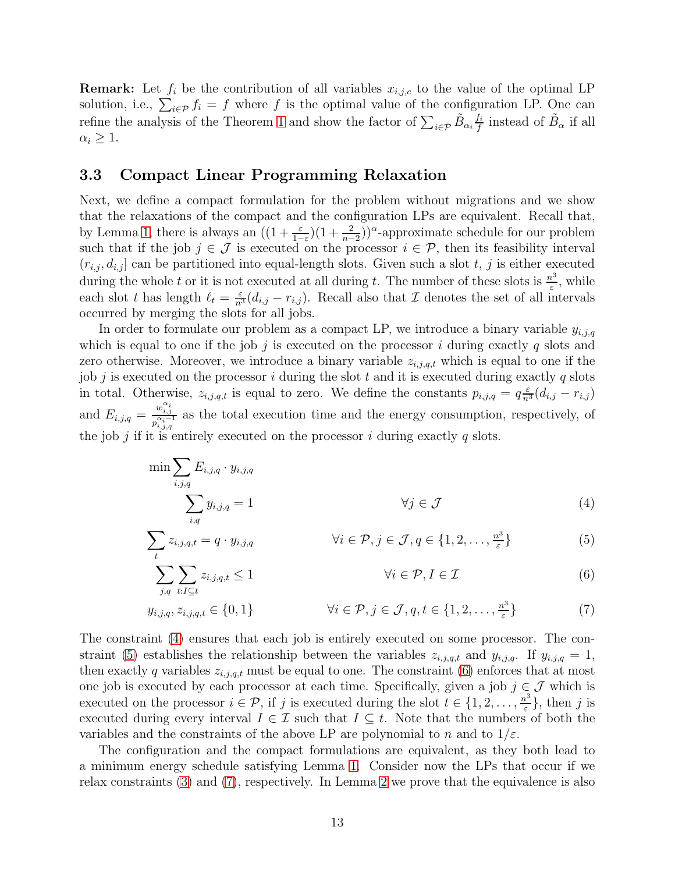**Remark:** Let  $f_i$  be the contribution of all variables  $x_{i,j,c}$  to the value of the optimal LP solution, i.e.,  $\sum_{i \in \mathcal{P}} f_i = f$  where f is the optimal value of the configuration LP. One can refine the analysis of the Theorem [1](#page-9-2) and show the factor of  $\sum_{i \in \mathcal{P}} \tilde{B}_{\alpha_i} \frac{f_i}{f}$  $\frac{f_i}{f}$  instead of  $\tilde{B}_{\alpha}$  if all  $\alpha_i \geq 1$ .

### <span id="page-12-0"></span>3.3 Compact Linear Programming Relaxation

t

Next, we define a compact formulation for the problem without migrations and we show that the relaxations of the compact and the configuration LPs are equivalent. Recall that, by Lemma [1,](#page-7-1) there is always an  $((1+\frac{\varepsilon}{1-\varepsilon})(1+\frac{2}{n-2}))^{\alpha}$ -approximate schedule for our problem such that if the job  $j \in \mathcal{J}$  is executed on the processor  $i \in \mathcal{P}$ , then its feasibility interval  $(r_{i,j}, d_{i,j}]$  can be partitioned into equal-length slots. Given such a slot t, j is either executed during the whole t or it is not executed at all during t. The number of these slots is  $\frac{n^3}{5}$  $\frac{\nu^3}{\varepsilon}$ , while each slot t has length  $\ell_t = \frac{\varepsilon}{n^3} (d_{i,j} - r_{i,j})$ . Recall also that  $\mathcal I$  denotes the set of all intervals occurred by merging the slots for all jobs.

In order to formulate our problem as a compact LP, we introduce a binary variable  $y_{i,j,q}$ which is equal to one if the job j is executed on the processor i during exactly  $q$  slots and zero otherwise. Moreover, we introduce a binary variable  $z_{i,j,q,t}$  which is equal to one if the job j is executed on the processor i during the slot t and it is executed during exactly  $q$  slots in total. Otherwise,  $z_{i,j,q,t}$  is equal to zero. We define the constants  $p_{i,j,q} = q_{\overline{n}}^{\epsilon} (d_{i,j} - r_{i,j})$ and  $E_{i,j,q} = \frac{w_{i,j}^{\alpha_i}}{n^{\alpha_i-1}}$  $\frac{a_{i,j}}{p_{i,j,q}^{a_{i}-1}}$  as the total execution time and the energy consumption, respectively, of the job  $j$  if it is entirely executed on the processor  $i$  during exactly  $q$  slots.

<span id="page-12-1"></span>
$$
\min \sum_{i,j,q} E_{i,j,q} \cdot y_{i,j,q}
$$
\n
$$
\sum_{i,q} y_{i,j,q} = 1
$$
\n
$$
\forall j \in \mathcal{J}
$$
\n(4)

$$
\sum_{t} z_{i,j,q,t} = q \cdot y_{i,j,q} \qquad \qquad \forall i \in \mathcal{P}, j \in \mathcal{J}, q \in \{1, 2, \dots, \frac{n^3}{\varepsilon}\} \qquad (5)
$$

$$
\sum_{j,q} \sum_{t:I \subseteq t} z_{i,j,q,t} \le 1 \qquad \qquad \forall i \in \mathcal{P}, I \in \mathcal{I} \tag{6}
$$

$$
y_{i,j,q}, z_{i,j,q,t} \in \{0,1\} \qquad \forall i \in \mathcal{P}, j \in \mathcal{J}, q, t \in \{1,2,\ldots,\frac{n^3}{\varepsilon}\} \qquad (7)
$$

The constraint [\(4\)](#page-12-1) ensures that each job is entirely executed on some processor. The con-straint [\(5\)](#page-12-1) establishes the relationship between the variables  $z_{i,j,q,t}$  and  $y_{i,j,q}$ . If  $y_{i,j,q} = 1$ , then exactly q variables  $z_{i,j,q,t}$  must be equal to one. The constraint [\(6\)](#page-12-1) enforces that at most one job is executed by each processor at each time. Specifically, given a job  $j \in \mathcal{J}$  which is executed on the processor  $i \in \mathcal{P}$ , if j is executed during the slot  $t \in \{1, 2, \ldots, \frac{n^3}{\varepsilon}\}$  $\left\{\frac{i^{\circ}}{\varepsilon}\right\}$ , then j is executed during every interval  $I \in \mathcal{I}$  such that  $I \subseteq t$ . Note that the numbers of both the variables and the constraints of the above LP are polynomial to n and to  $1/\varepsilon$ .

The configuration and the compact formulations are equivalent, as they both lead to a minimum energy schedule satisfying Lemma [1.](#page-7-1) Consider now the LPs that occur if we relax constraints [\(3\)](#page-9-0) and [\(7\)](#page-12-1), respectively. In Lemma [2](#page-13-0) we prove that the equivalence is also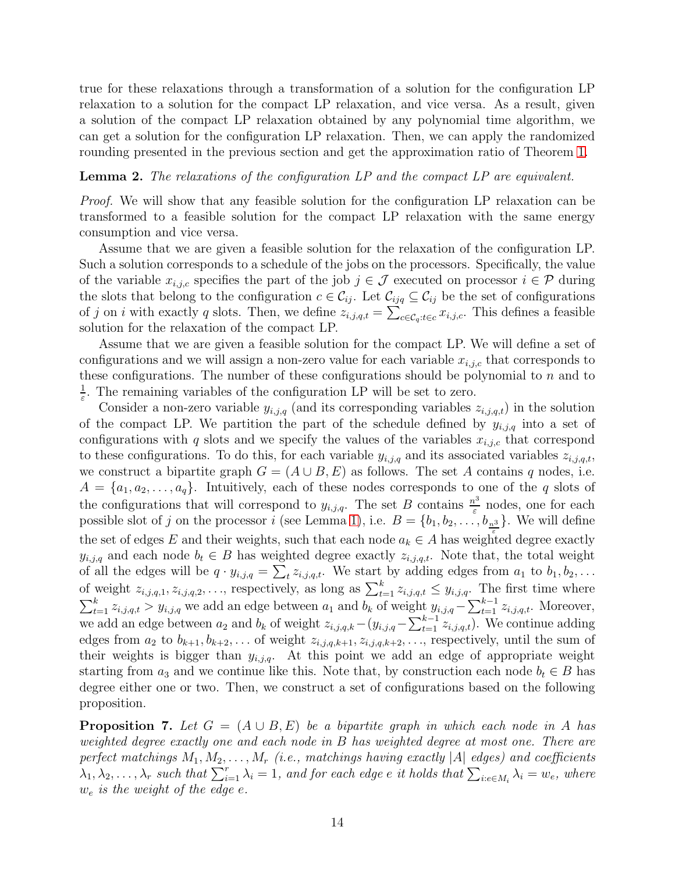true for these relaxations through a transformation of a solution for the configuration LP relaxation to a solution for the compact LP relaxation, and vice versa. As a result, given a solution of the compact LP relaxation obtained by any polynomial time algorithm, we can get a solution for the configuration LP relaxation. Then, we can apply the randomized rounding presented in the previous section and get the approximation ratio of Theorem [1.](#page-9-2)

#### <span id="page-13-0"></span>Lemma 2. The relaxations of the configuration LP and the compact LP are equivalent.

Proof. We will show that any feasible solution for the configuration LP relaxation can be transformed to a feasible solution for the compact LP relaxation with the same energy consumption and vice versa.

Assume that we are given a feasible solution for the relaxation of the configuration LP. Such a solution corresponds to a schedule of the jobs on the processors. Specifically, the value of the variable  $x_{i,j,c}$  specifies the part of the job  $j \in \mathcal{J}$  executed on processor  $i \in \mathcal{P}$  during the slots that belong to the configuration  $c \in C_{ij}$ . Let  $C_{ijq} \subseteq C_{ij}$  be the set of configurations of j on i with exactly q slots. Then, we define  $z_{i,j,q,t} = \sum_{c \in C_q : t \in c} x_{i,j,c}$ . This defines a feasible solution for the relaxation of the compact LP.

Assume that we are given a feasible solution for the compact LP. We will define a set of configurations and we will assign a non-zero value for each variable  $x_{i,i,c}$  that corresponds to these configurations. The number of these configurations should be polynomial to  $n$  and to 1  $\frac{1}{\varepsilon}$ . The remaining variables of the configuration LP will be set to zero.

Consider a non-zero variable  $y_{i,j,q}$  (and its corresponding variables  $z_{i,j,q,t}$ ) in the solution of the compact LP. We partition the part of the schedule defined by  $y_{i,j,q}$  into a set of configurations with q slots and we specify the values of the variables  $x_{i,j,c}$  that correspond to these configurations. To do this, for each variable  $y_{i,j,q}$  and its associated variables  $z_{i,j,q,t}$ , we construct a bipartite graph  $G = (A \cup B, E)$  as follows. The set A contains q nodes, i.e.  $A = \{a_1, a_2, \ldots, a_q\}$ . Intuitively, each of these nodes corresponds to one of the q slots of the configurations that will correspond to  $y_{i,j,q}$ . The set B contains  $\frac{n^3}{\varepsilon}$  $\frac{v^{\circ}}{\varepsilon}$  nodes, one for each possible slot of j on the processor i (see Lemma [1\)](#page-7-1), i.e.  $B = \{b_1, b_2, \ldots, b_{\frac{n^3}{5}}\}$ . We will define the set of edges E and their weights, such that each node  $a_k \in A$  has weighted degree exactly  $y_{i,j,q}$  and each node  $b_t \in B$  has weighted degree exactly  $z_{i,j,q,t}$ . Note that, the total weight of all the edges will be  $q \cdot y_{i,j,q} = \sum_{t} z_{i,j,q,t}$ . We start by adding edges from  $a_1$  to  $b_1, b_2, \ldots$ of weight  $z_{i,j,q,1}, z_{i,j,q,2}, \ldots$ , respectively, as long as  $\sum_{t=1}^{k} z_{i,j,q,t} \leq y_{i,j,q}$ . The first time where  $\sum_{t=1}^{k} z_{i,j,q,t} > y_{i,j,q}$  we add an edge between  $a_1$  and  $b_k$  of weight  $y_{i,j,q} - \sum_{t=1}^{k-1} z_{i,j,q,t}$ . Moreover, we add an edge between  $a_2$  and  $b_k$  of weight  $z_{i,j,q,k}-(y_{i,j,q}-\sum_{t=1}^{k-1} z_{i,j,q,t})$ . We continue adding edges from  $a_2$  to  $b_{k+1}, b_{k+2}, \ldots$  of weight  $z_{i,j,q,k+1}, z_{i,j,q,k+2}, \ldots$ , respectively, until the sum of their weights is bigger than  $y_{i,j,q}$ . At this point we add an edge of appropriate weight starting from  $a_3$  and we continue like this. Note that, by construction each node  $b_t \in B$  has degree either one or two. Then, we construct a set of configurations based on the following proposition.

**Proposition 7.** Let  $G = (A \cup B, E)$  be a bipartite graph in which each node in A has weighted degree exactly one and each node in B has weighted degree at most one. There are perfect matchings  $M_1, M_2, \ldots, M_r$  (i.e., matchings having exactly |A| edges) and coefficients  $\lambda_1, \lambda_2, \ldots, \lambda_r$  such that  $\sum_{i=1}^r \lambda_i = 1$ , and for each edge e it holds that  $\sum_{i: e \in M_i} \lambda_i = w_e$ , where  $w_e$  is the weight of the edge e.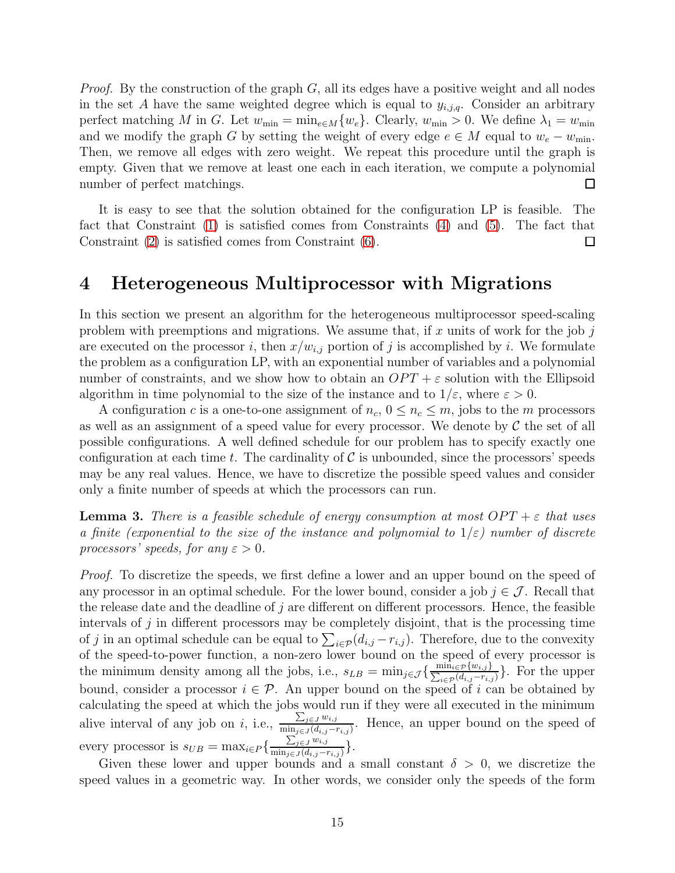*Proof.* By the construction of the graph G, all its edges have a positive weight and all nodes in the set A have the same weighted degree which is equal to  $y_{i,j,q}$ . Consider an arbitrary perfect matching M in G. Let  $w_{\min} = \min_{e \in M} \{w_e\}$ . Clearly,  $w_{\min} > 0$ . We define  $\lambda_1 = w_{\min}$ and we modify the graph G by setting the weight of every edge  $e \in M$  equal to  $w_e - w_{\min}$ . Then, we remove all edges with zero weight. We repeat this procedure until the graph is empty. Given that we remove at least one each in each iteration, we compute a polynomial number of perfect matchings.  $\Box$ 

It is easy to see that the solution obtained for the configuration LP is feasible. The fact that Constraint [\(1\)](#page-9-0) is satisfied comes from Constraints [\(4\)](#page-12-1) and [\(5\)](#page-12-1). The fact that Constraint [\(2\)](#page-9-0) is satisfied comes from Constraint [\(6\)](#page-12-1).  $\Box$ 

### <span id="page-14-0"></span>4 Heterogeneous Multiprocessor with Migrations

In this section we present an algorithm for the heterogeneous multiprocessor speed-scaling problem with preemptions and migrations. We assume that, if x units of work for the job  $j$ are executed on the processor i, then  $x/w_{i,j}$  portion of j is accomplished by i. We formulate the problem as a configuration LP, with an exponential number of variables and a polynomial number of constraints, and we show how to obtain an  $OPT + \varepsilon$  solution with the Ellipsoid algorithm in time polynomial to the size of the instance and to  $1/\varepsilon$ , where  $\varepsilon > 0$ .

A configuration c is a one-to-one assignment of  $n_c$ ,  $0 \leq n_c \leq m$ , jobs to the m processors as well as an assignment of a speed value for every processor. We denote by  $\mathcal C$  the set of all possible configurations. A well defined schedule for our problem has to specify exactly one configuration at each time t. The cardinality of  $\mathcal C$  is unbounded, since the processors' speeds may be any real values. Hence, we have to discretize the possible speed values and consider only a finite number of speeds at which the processors can run.

<span id="page-14-1"></span>**Lemma 3.** There is a feasible schedule of energy consumption at most  $OPT + \varepsilon$  that uses a finite (exponential to the size of the instance and polynomial to  $1/\varepsilon$ ) number of discrete processors' speeds, for any  $\varepsilon > 0$ .

Proof. To discretize the speeds, we first define a lower and an upper bound on the speed of any processor in an optimal schedule. For the lower bound, consider a job  $j \in \mathcal{J}$ . Recall that the release date and the deadline of  $j$  are different on different processors. Hence, the feasible intervals of  $j$  in different processors may be completely disjoint, that is the processing time of j in an optimal schedule can be equal to  $\sum_{i\in\mathcal{P}}(d_{i,j}-r_{i,j})$ . Therefore, due to the convexity of the speed-to-power function, a non-zero lower bound on the speed of every processor is the minimum density among all the jobs, i.e.,  $s_{LB} = \min_{j \in \mathcal{J}} \left\{ \frac{\min_{i \in \mathcal{P}} \{w_{i,j}\}}{\sum_{i \in \mathcal{P}} (d_{i,j} - r_{i,j})} \right\}$  $\frac{\min_{i\in\mathcal{P}}\{w_{i,j}\}}{\min_{i\in\mathcal{P}}(d_{i,j}-r_{i,j})}$ . For the upper bound, consider a processor  $i \in \mathcal{P}$ . An upper bound on the speed of i can be obtained by calculating the speed at which the jobs would run if they were all executed in the minimum alive interval of any job on i, i.e.,  $\frac{\sum_{j\in J} w_{i,j}}{\min_{j\in J} (d_{i,j})}$  $\frac{\sum_{j\in J} a_{i,j}}{\min_{j\in J}(d_{i,j}-r_{i,j})}$ . Hence, an upper bound on the speed of every processor is  $s_{UB} = \max_{i \in P} \left\{ \frac{\sum_{j \in J} w_{i,j}}{\min_{j \in J} (d_{i,j} - i)} \right\}$  $\frac{\sum_{j\in J} w_{i,j}}{\min_{j\in J}(d_{i,j}-r_{i,j})}\big\}.$ 

Given these lower and upper bounds and a small constant  $\delta > 0$ , we discretize the speed values in a geometric way. In other words, we consider only the speeds of the form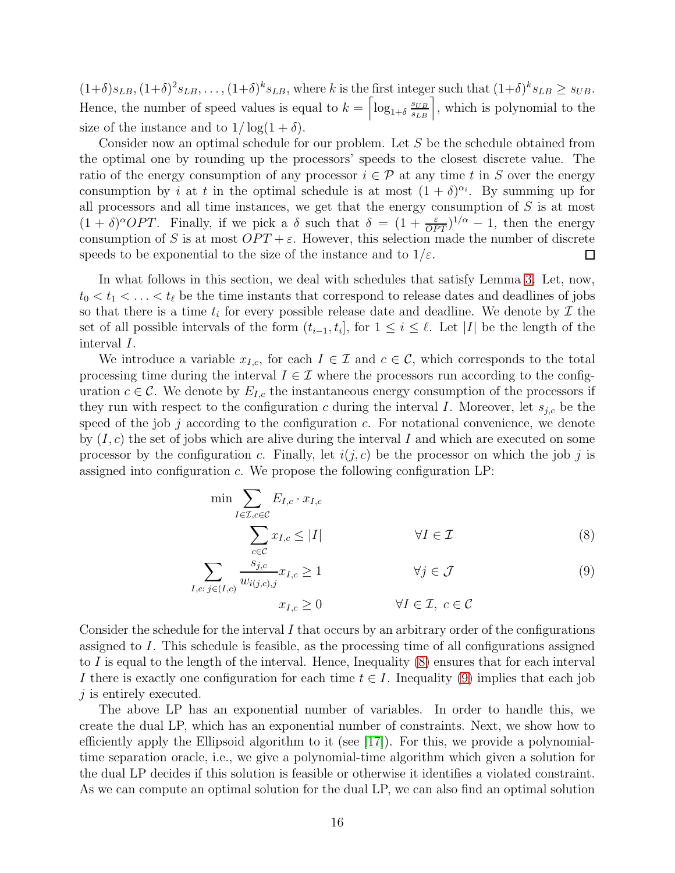$(1+\delta)s_{LB}, (1+\delta)^2s_{LB}, \ldots, (1+\delta)^k s_{LB}$ , where k is the first integer such that  $(1+\delta)^k s_{LB} \geq s_{UB}$ . Hence, the number of speed values is equal to  $k = \left[\log_{1+\delta} \frac{s_{UB}}{s_{LB}}\right]$ , which is polynomial to the size of the instance and to  $1/\log(1+\delta)$ .

Consider now an optimal schedule for our problem. Let S be the schedule obtained from the optimal one by rounding up the processors' speeds to the closest discrete value. The ratio of the energy consumption of any processor  $i \in \mathcal{P}$  at any time t in S over the energy consumption by *i* at *t* in the optimal schedule is at most  $(1 + \delta)^{\alpha_i}$ . By summing up for all processors and all time instances, we get that the energy consumption of  $S$  is at most  $(1 + \delta)^{\alpha}OPT$ . Finally, if we pick a  $\delta$  such that  $\delta = (1 + \frac{\varepsilon}{OPT})^{1/\alpha} - 1$ , then the energy consumption of S is at most  $OPT + \varepsilon$ . However, this selection made the number of discrete speeds to be exponential to the size of the instance and to  $1/\varepsilon$ .  $\Box$ 

In what follows in this section, we deal with schedules that satisfy Lemma [3.](#page-14-1) Let, now,  $t_0 < t_1 < \ldots < t_\ell$  be the time instants that correspond to release dates and deadlines of jobs so that there is a time  $t_i$  for every possible release date and deadline. We denote by  $\mathcal I$  the set of all possible intervals of the form  $(t_{i-1}, t_i]$ , for  $1 \leq i \leq \ell$ . Let |I| be the length of the interval I.

We introduce a variable  $x_{I,c}$ , for each  $I \in \mathcal{I}$  and  $c \in \mathcal{C}$ , which corresponds to the total processing time during the interval  $I \in \mathcal{I}$  where the processors run according to the configuration  $c \in \mathcal{C}$ . We denote by  $E_{I,c}$  the instantaneous energy consumption of the processors if they run with respect to the configuration c during the interval I. Moreover, let  $s_{j,c}$  be the speed of the job  $j$  according to the configuration  $c$ . For notational convenience, we denote by  $(I, c)$  the set of jobs which are alive during the interval I and which are executed on some processor by the configuration c. Finally, let  $i(j, c)$  be the processor on which the job j is assigned into configuration c. We propose the following configuration LP:

<span id="page-15-0"></span>
$$
\min \sum_{I \in \mathcal{I}, c \in \mathcal{C}} E_{I,c} \cdot x_{I,c} \n\sum_{c \in \mathcal{C}} x_{I,c} \le |I| \qquad \forall I \in \mathcal{I}
$$
\n(8)

$$
\sum_{I,c:\,j\in(I,c)}\frac{s_{j,c}}{w_{i(j,c),j}}x_{I,c}\geq 1\qquad\qquad\forall j\in\mathcal{J}\tag{9}
$$

 $x_{I,c} \geq 0$   $\forall I \in \mathcal{I}, c \in \mathcal{C}$ 

Consider the schedule for the interval  $I$  that occurs by an arbitrary order of the configurations assigned to I. This schedule is feasible, as the processing time of all configurations assigned to I is equal to the length of the interval. Hence, Inequality  $(8)$  ensures that for each interval I there is exactly one configuration for each time  $t \in I$ . Inequality [\(9\)](#page-15-0) implies that each job j is entirely executed.

The above LP has an exponential number of variables. In order to handle this, we create the dual LP, which has an exponential number of constraints. Next, we show how to efficiently apply the Ellipsoid algorithm to it (see [\[17\]](#page-26-5)). For this, we provide a polynomialtime separation oracle, i.e., we give a polynomial-time algorithm which given a solution for the dual LP decides if this solution is feasible or otherwise it identifies a violated constraint. As we can compute an optimal solution for the dual LP, we can also find an optimal solution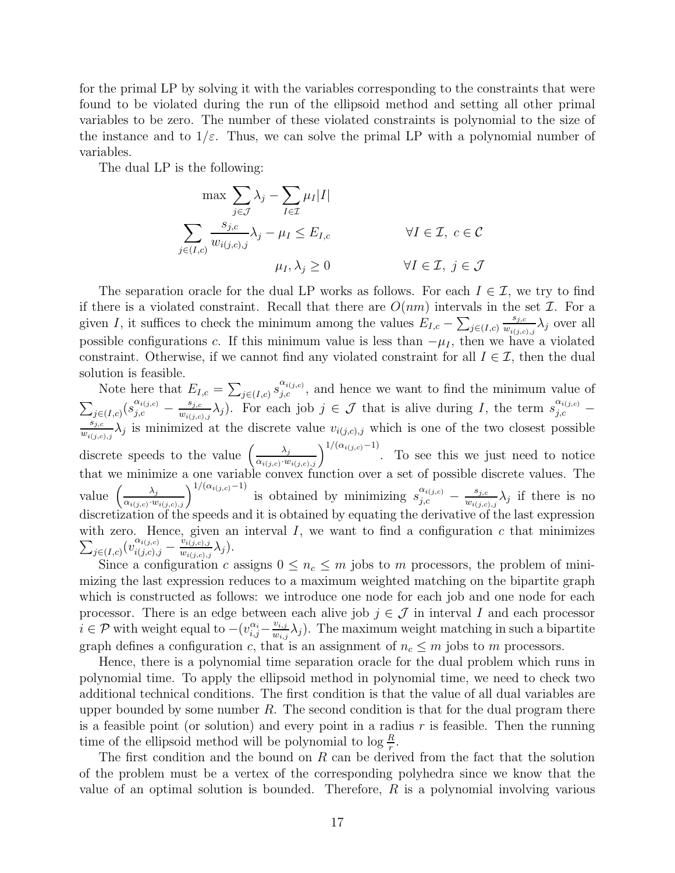for the primal LP by solving it with the variables corresponding to the constraints that were found to be violated during the run of the ellipsoid method and setting all other primal variables to be zero. The number of these violated constraints is polynomial to the size of the instance and to  $1/\varepsilon$ . Thus, we can solve the primal LP with a polynomial number of variables.

The dual LP is the following:

$$
\max \sum_{j \in \mathcal{J}} \lambda_j - \sum_{I \in \mathcal{I}} \mu_I |I|
$$
  

$$
\sum_{j \in (I,c)} \frac{s_{j,c}}{w_{i(j,c),j}} \lambda_j - \mu_I \le E_{I,c} \qquad \forall I \in \mathcal{I}, c \in \mathcal{C}
$$
  

$$
\mu_I, \lambda_j \ge 0 \qquad \forall I \in \mathcal{I}, j \in \mathcal{J}
$$

The separation oracle for the dual LP works as follows. For each  $I \in \mathcal{I}$ , we try to find if there is a violated constraint. Recall that there are  $O(nm)$  intervals in the set  $\mathcal I$ . For a given I, it suffices to check the minimum among the values  $E_{I,c} - \sum_{j \in (I,c)}$  $s_{j,c}$  $\frac{s_{j,c}}{w_{i(j,c),j}}\lambda_j$  over all possible configurations c. If this minimum value is less than  $-\mu_I$ , then we have a violated constraint. Otherwise, if we cannot find any violated constraint for all  $I \in \mathcal{I}$ , then the dual solution is feasible.

Note here that  $E_{I,c} = \sum_{j \in (I,c)} s_{j,c}^{\alpha_{i(j,c)}}$ , and hence we want to find the minimum value of  $\sum_{j \in (I,c)} (s_{j,c}^{\alpha_{i(j,c)}} - \frac{s_{j,c}}{w_{i(j,c)}})$  $\frac{s_{j,c}}{w_{i(j,c),j}}\lambda_j$ ). For each job  $j \in \mathcal{J}$  that is alive during I, the term  $s_{j,c}^{\alpha_{i(j,c)}}$  –  $s_{j,c}$  $\frac{s_{j,c}}{w_{i(j,c),j}}\lambda_j$  is minimized at the discrete value  $v_{i(j,c),j}$  which is one of the two closest possible discrete speeds to the value  $\left(\frac{\lambda_j}{\alpha} \right)$  $\frac{\lambda_j}{\alpha_{i(j,c)}, w_{i(j,c),j}}\right)^{1/(\alpha_{i(j,c)}-1)}$ . To see this we just need to notice that we minimize a one variable convex function over a set of possible discrete values. The value  $\left(\frac{\lambda_j}{\alpha} \right)$  $\frac{\lambda_j}{\alpha_{i(j,c)} \cdot w_{i(j,c),j}}$  1/( $\alpha_{i(j,c)}$ -1) is obtained by minimizing  $s_{j,c}^{\alpha_{i(j,c)}}$  $\frac{\alpha_{i(j,c)}}{j,c}$  -  $\frac{s_{j,c}}{w_{i(j,c)}}$  $\frac{s_{j,c}}{w_{i(j,c),j}}\lambda_j$  if there is no discretization of the speeds and it is obtained by equating the derivative of the last expression  $\sum$ with zero. Hence, given an interval  $I$ , we want to find a configuration  $c$  that minimizes  $_{j\in(I,c)}(v_{i(j,c),j}^{\alpha_{i(j,c)}})$  $\frac{\alpha_{i(j,c)}}{i(j,c),j} - \frac{\widetilde{v_{i(j,c)},j}}{w_{i(j,c),j}}$  $\frac{v_{i(j,c),j}}{w_{i(j,c),j}} \lambda_j).$ 

Since a configuration c assigns  $0 \leq n_c \leq m$  jobs to m processors, the problem of minimizing the last expression reduces to a maximum weighted matching on the bipartite graph which is constructed as follows: we introduce one node for each job and one node for each processor. There is an edge between each alive job  $j \in \mathcal{J}$  in interval I and each processor  $\overline{i} \in \mathcal{P}$  with weight equal to  $-(v_{i,j}^{\alpha_i} - \frac{v_{i,j}}{w_{i,j}})$  $\frac{v_{i,j}}{w_{i,j}}\lambda_j$ ). The maximum weight matching in such a bipartite graph defines a configuration c, that is an assignment of  $n_c \leq m$  jobs to m processors.

Hence, there is a polynomial time separation oracle for the dual problem which runs in polynomial time. To apply the ellipsoid method in polynomial time, we need to check two additional technical conditions. The first condition is that the value of all dual variables are upper bounded by some number  $R$ . The second condition is that for the dual program there is a feasible point (or solution) and every point in a radius  $r$  is feasible. Then the running time of the ellipsoid method will be polynomial to  $\log \frac{R}{r}$ .

The first condition and the bound on R can be derived from the fact that the solution of the problem must be a vertex of the corresponding polyhedra since we know that the value of an optimal solution is bounded. Therefore,  $R$  is a polynomial involving various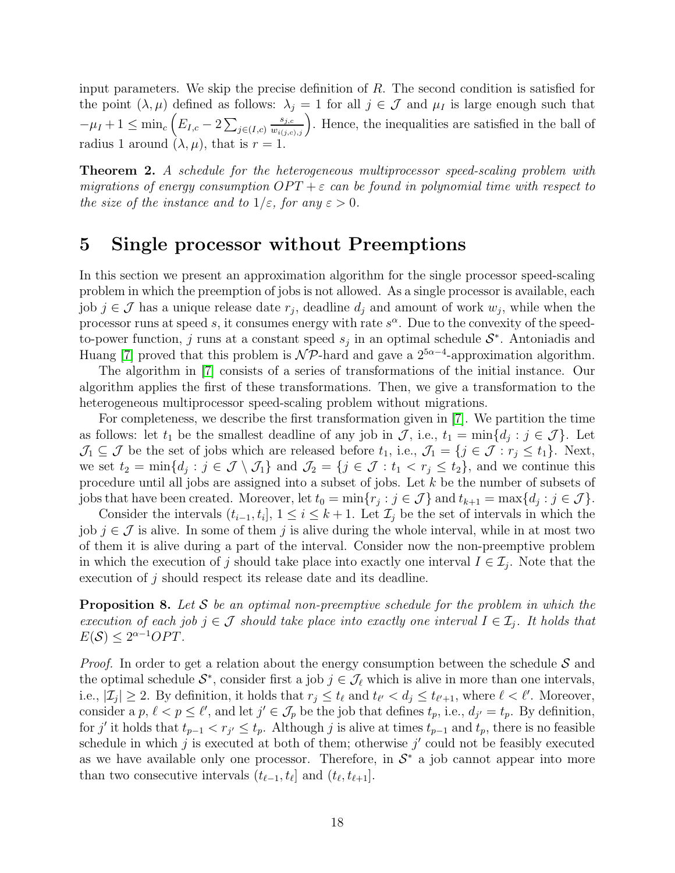input parameters. We skip the precise definition of R. The second condition is satisfied for the point  $(\lambda, \mu)$  defined as follows:  $\lambda_j = 1$  for all  $j \in \mathcal{J}$  and  $\mu_I$  is large enough such that  $-\mu_I + 1 \leq \min_c (E_{I,c} - 2 \sum_{j \in (I,c)}$  $\left( \frac{s_{j,c}}{w_{i(j,c),j}} \right)$ . Hence, the inequalities are satisfied in the ball of radius 1 around  $(\lambda, \mu)$ , that is  $r = 1$ .

**Theorem 2.** A schedule for the heterogeneous multiprocessor speed-scaling problem with migrations of energy consumption  $OPT + \varepsilon$  can be found in polynomial time with respect to the size of the instance and to  $1/\varepsilon$ , for any  $\varepsilon > 0$ .

# <span id="page-17-0"></span>5 Single processor without Preemptions

In this section we present an approximation algorithm for the single processor speed-scaling problem in which the preemption of jobs is not allowed. As a single processor is available, each job  $j \in \mathcal{J}$  has a unique release date  $r_j$ , deadline  $d_j$  and amount of work  $w_j$ , while when the processor runs at speed s, it consumes energy with rate  $s^{\alpha}$ . Due to the convexity of the speedto-power function, j runs at a constant speed  $s_j$  in an optimal schedule  $S^*$ . Antoniadis and Huang [\[7\]](#page-25-10) proved that this problem is  $\mathcal{NP}$ -hard and gave a  $2^{5\alpha-4}$ -approximation algorithm.

The algorithm in [\[7\]](#page-25-10) consists of a series of transformations of the initial instance. Our algorithm applies the first of these transformations. Then, we give a transformation to the heterogeneous multiprocessor speed-scaling problem without migrations.

For completeness, we describe the first transformation given in [\[7\]](#page-25-10). We partition the time as follows: let  $t_1$  be the smallest deadline of any job in  $\mathcal{J}$ , i.e.,  $t_1 = \min\{d_j : j \in \mathcal{J}\}\.$  Let  $\mathcal{J}_1 \subseteq \mathcal{J}$  be the set of jobs which are released before  $t_1$ , i.e.,  $\mathcal{J}_1 = \{j \in \mathcal{J} : r_j \le t_1\}$ . Next, we set  $t_2 = \min\{d_j : j \in \mathcal{J} \setminus \mathcal{J}_1\}$  and  $\mathcal{J}_2 = \{j \in \mathcal{J} : t_1 < r_j \le t_2\}$ , and we continue this procedure until all jobs are assigned into a subset of jobs. Let k be the number of subsets of jobs that have been created. Moreover, let  $t_0 = \min\{r_j : j \in \mathcal{J}\}\$  and  $t_{k+1} = \max\{d_j : j \in \mathcal{J}\}\$ .

Consider the intervals  $(t_{i-1}, t_i]$ ,  $1 \leq i \leq k+1$ . Let  $\mathcal{I}_j$  be the set of intervals in which the job  $j \in \mathcal{J}$  is alive. In some of them j is alive during the whole interval, while in at most two of them it is alive during a part of the interval. Consider now the non-preemptive problem in which the execution of j should take place into exactly one interval  $I \in \mathcal{I}_j$ . Note that the execution of j should respect its release date and its deadline.

**Proposition 8.** Let S be an optimal non-preemptive schedule for the problem in which the execution of each job  $j \in \mathcal{J}$  should take place into exactly one interval  $I \in \mathcal{I}_j$ . It holds that  $E(S) \leq 2^{\alpha - 1}OPT.$ 

*Proof.* In order to get a relation about the energy consumption between the schedule  $S$  and the optimal schedule  $S^*$ , consider first a job  $j \in \mathcal{J}_{\ell}$  which is alive in more than one intervals, i.e.,  $|\mathcal{I}_j| \geq 2$ . By definition, it holds that  $r_j \leq t_\ell$  and  $t_{\ell'} < d_j \leq t_{\ell'+1}$ , where  $\ell < \ell'$ . Moreover, consider a  $p, \ell < p \leq \ell'$ , and let  $j' \in \mathcal{J}_p$  be the job that defines  $t_p$ , i.e.,  $d_{j'} = t_p$ . By definition, for j' it holds that  $t_{p-1} < r_{j'} \leq t_p$ . Although j is alive at times  $t_{p-1}$  and  $t_p$ , there is no feasible schedule in which  $j$  is executed at both of them; otherwise  $j'$  could not be feasibly executed as we have available only one processor. Therefore, in  $S^*$  a job cannot appear into more than two consecutive intervals  $(t_{\ell-1}, t_{\ell}]$  and  $(t_{\ell}, t_{\ell+1}]$ .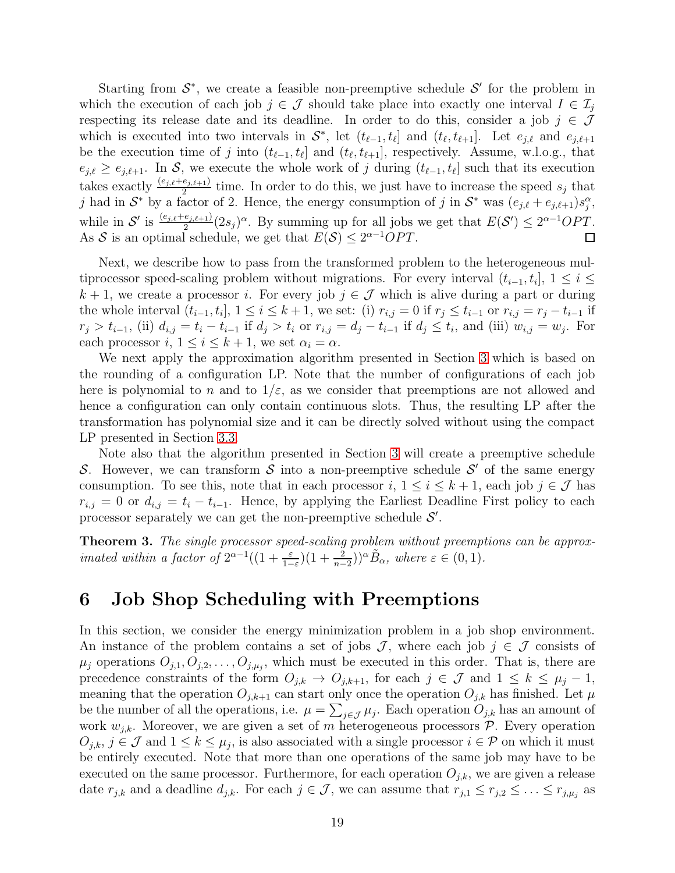Starting from  $S^*$ , we create a feasible non-preemptive schedule  $S'$  for the problem in which the execution of each job  $j \in \mathcal{J}$  should take place into exactly one interval  $I \in \mathcal{I}_j$ respecting its release date and its deadline. In order to do this, consider a job  $j \in \mathcal{J}$ which is executed into two intervals in  $S^*$ , let  $(t_{\ell-1}, t_{\ell}]$  and  $(t_{\ell}, t_{\ell+1}]$ . Let  $e_{j,\ell}$  and  $e_{j,\ell+1}$ be the execution time of j into  $(t_{\ell-1}, t_{\ell}]$  and  $(t_{\ell}, t_{\ell+1}]$ , respectively. Assume, w.l.o.g., that  $e_{j,\ell} \geq e_{j,\ell+1}$ . In S, we execute the whole work of j during  $(t_{\ell-1}, t_{\ell}]$  such that its execution takes exactly  $\frac{(e_{j,\ell}+e_{j,\ell+1})}{2}$  time. In order to do this, we just have to increase the speed  $s_j$  that j had in  $S^*$  by a factor of 2. Hence, the energy consumption of j in  $S^*$  was  $(e_{j,\ell} + e_{j,\ell+1})s_j^{\alpha}$ , while in S' is  $\frac{(e_{j,\ell}+e_{j,\ell+1})}{2}(2s_j)^\alpha$ . By summing up for all jobs we get that  $E(S') \leq 2^{\alpha-1}OPT$ . As S is an optimal schedule, we get that  $E(S) \leq 2^{\alpha-1}OPT$ .  $\Box$ 

Next, we describe how to pass from the transformed problem to the heterogeneous multiprocessor speed-scaling problem without migrations. For every interval  $(t_{i-1}, t_i]$ ,  $1 \leq i \leq$  $k + 1$ , we create a processor i. For every job  $j \in \mathcal{J}$  which is alive during a part or during the whole interval  $(t_{i-1}, t_i], 1 \le i \le k+1$ , we set: (i)  $r_{i,j} = 0$  if  $r_j \le t_{i-1}$  or  $r_{i,j} = r_j - t_{i-1}$  if  $r_j > t_{i-1}$ , (ii)  $d_{i,j} = t_i - t_{i-1}$  if  $d_j > t_i$  or  $r_{i,j} = d_j - t_{i-1}$  if  $d_j \le t_i$ , and (iii)  $w_{i,j} = w_j$ . For each processor  $i, 1 \leq i \leq k+1$ , we set  $\alpha_i = \alpha$ .

We next apply the approximation algorithm presented in Section [3](#page-7-0) which is based on the rounding of a configuration LP. Note that the number of configurations of each job here is polynomial to n and to  $1/\varepsilon$ , as we consider that preemptions are not allowed and hence a configuration can only contain continuous slots. Thus, the resulting LP after the transformation has polynomial size and it can be directly solved without using the compact LP presented in Section [3.3.](#page-12-0)

Note also that the algorithm presented in Section [3](#page-7-0) will create a preemptive schedule S. However, we can transform S into a non-preemptive schedule S' of the same energy consumption. To see this, note that in each processor  $i, 1 \le i \le k+1$ , each job  $j \in \mathcal{J}$  has  $r_{i,j} = 0$  or  $d_{i,j} = t_i - t_{i-1}$ . Hence, by applying the Earliest Deadline First policy to each processor separately we can get the non-preemptive schedule  $\mathcal{S}'$ .

**Theorem 3.** The single processor speed-scaling problem without preemptions can be approximated within a factor of  $2^{\alpha-1}((1+\frac{\varepsilon}{1-\varepsilon})(1+\frac{2}{n-2}))^{\alpha}\tilde{B}_{\alpha}$ , where  $\varepsilon \in (0,1)$ .

### <span id="page-18-0"></span>6 Job Shop Scheduling with Preemptions

In this section, we consider the energy minimization problem in a job shop environment. An instance of the problem contains a set of jobs  $J$ , where each job  $j \in J$  consists of  $\mu_j$  operations  $O_{j,1}, O_{j,2}, \ldots, O_{j,\mu_j}$ , which must be executed in this order. That is, there are precedence constraints of the form  $O_{j,k} \to O_{j,k+1}$ , for each  $j \in \mathcal{J}$  and  $1 \leq k \leq \mu_j - 1$ , meaning that the operation  $O_{j,k+1}$  can start only once the operation  $O_{j,k}$  has finished. Let  $\mu$ be the number of all the operations, i.e.  $\mu = \sum_{j \in \mathcal{J}} \mu_j$ . Each operation  $O_{j,k}$  has an amount of work  $w_{j,k}$ . Moreover, we are given a set of m heterogeneous processors  $P$ . Every operation  $O_{j,k}, j \in \mathcal{J}$  and  $1 \leq k \leq \mu_j$ , is also associated with a single processor  $i \in \mathcal{P}$  on which it must be entirely executed. Note that more than one operations of the same job may have to be executed on the same processor. Furthermore, for each operation  $O_{j,k}$ , we are given a release date  $r_{j,k}$  and a deadline  $d_{j,k}$ . For each  $j \in \mathcal{J}$ , we can assume that  $r_{j,1} \leq r_{j,2} \leq \ldots \leq r_{j,\mu_j}$  as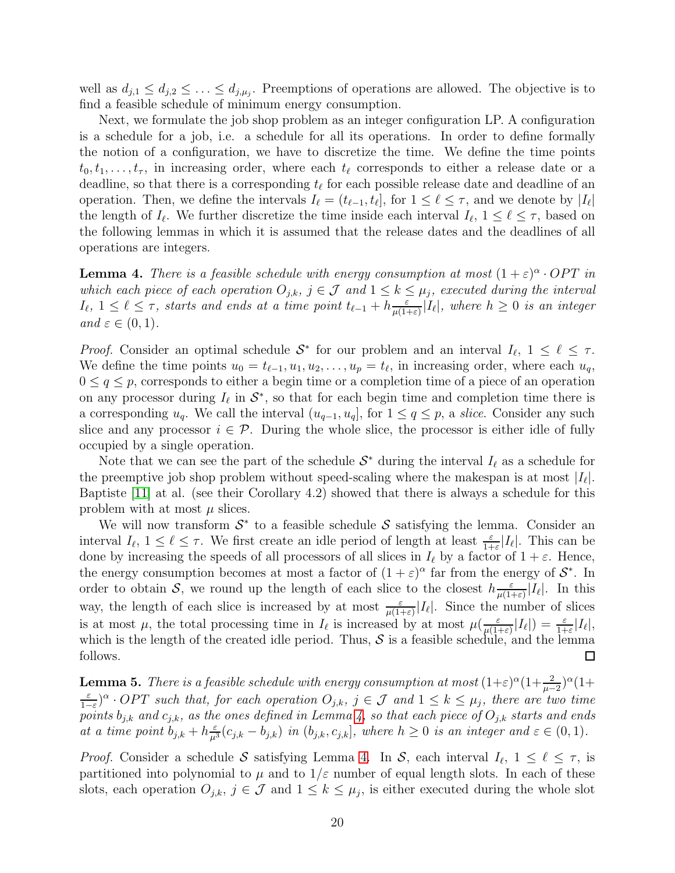well as  $d_{j,1} \leq d_{j,2} \leq \ldots \leq d_{j,\mu_j}$ . Preemptions of operations are allowed. The objective is to find a feasible schedule of minimum energy consumption.

Next, we formulate the job shop problem as an integer configuration LP. A configuration is a schedule for a job, i.e. a schedule for all its operations. In order to define formally the notion of a configuration, we have to discretize the time. We define the time points  $t_0, t_1, \ldots, t_{\tau}$ , in increasing order, where each  $t_{\ell}$  corresponds to either a release date or a deadline, so that there is a corresponding  $t_{\ell}$  for each possible release date and deadline of an operation. Then, we define the intervals  $I_{\ell} = (t_{\ell-1}, t_{\ell}],$  for  $1 \leq \ell \leq \tau$ , and we denote by  $|I_{\ell}|$ the length of  $I_{\ell}$ . We further discretize the time inside each interval  $I_{\ell}$ ,  $1 \leq \ell \leq \tau$ , based on the following lemmas in which it is assumed that the release dates and the deadlines of all operations are integers.

<span id="page-19-0"></span>**Lemma 4.** There is a feasible schedule with energy consumption at most  $(1+\varepsilon)^{\alpha}$ . OPT in which each piece of each operation  $O_{j,k}$ ,  $j \in \mathcal{J}$  and  $1 \leq k \leq \mu_j$ , executed during the interval  $I_{\ell}$ ,  $1 \leq \ell \leq \tau$ , starts and ends at a time point  $t_{\ell-1} + h \frac{\varepsilon}{\mu(1-\varepsilon)}$  $\frac{\varepsilon}{\mu(1+\varepsilon)}|I_\ell|$ , where  $h\geq 0$  is an integer and  $\varepsilon \in (0,1)$ .

*Proof.* Consider an optimal schedule  $S^*$  for our problem and an interval  $I_{\ell}$ ,  $1 \leq \ell \leq \tau$ . We define the time points  $u_0 = t_{\ell-1}, u_1, u_2, \ldots, u_p = t_{\ell}$ , in increasing order, where each  $u_q$ ,  $0 \leq q \leq p$ , corresponds to either a begin time or a completion time of a piece of an operation on any processor during  $I_{\ell}$  in  $\mathcal{S}^*$ , so that for each begin time and completion time there is a corresponding  $u_q$ . We call the interval  $(u_{q-1}, u_q]$ , for  $1 \le q \le p$ , a *slice*. Consider any such slice and any processor  $i \in \mathcal{P}$ . During the whole slice, the processor is either idle of fully occupied by a single operation.

Note that we can see the part of the schedule  $S^*$  during the interval  $I_{\ell}$  as a schedule for the preemptive job shop problem without speed-scaling where the makespan is at most  $|I_{\ell}|$ . Baptiste [\[11\]](#page-25-15) at al. (see their Corollary 4.2) showed that there is always a schedule for this problem with at most  $\mu$  slices.

We will now transform  $\mathcal{S}^*$  to a feasible schedule  $\mathcal{S}$  satisfying the lemma. Consider an interval  $I_{\ell}$ ,  $1 \leq \ell \leq \tau$ . We first create an idle period of length at least  $\frac{\varepsilon}{1+\varepsilon}|I_{\ell}|$ . This can be done by increasing the speeds of all processors of all slices in  $I_{\ell}$  by a factor of  $1 + \varepsilon$ . Hence, the energy consumption becomes at most a factor of  $(1 + \varepsilon)^{\alpha}$  far from the energy of  $\mathcal{S}^*$ . In order to obtain S, we round up the length of each slice to the closest  $h \frac{\varepsilon}{\mu(1-\varepsilon)}$  $\frac{\varepsilon}{\mu(1+\varepsilon)}|I_{\ell}|.$  In this way, the length of each slice is increased by at most  $\frac{\varepsilon}{\mu(1+\varepsilon)}|I_{\ell}|$ . Since the number of slices is at most  $\mu$ , the total processing time in  $I_{\ell}$  is increased by at most  $\mu(\frac{\varepsilon}{\mu(1-\varepsilon)})$  $\frac{\varepsilon}{\mu(1+\varepsilon)}|I_{\ell}|$  =  $\frac{\varepsilon}{1+\varepsilon}|I_{\ell}|$ , which is the length of the created idle period. Thus,  $S$  is a feasible schedule, and the lemma follows. follows.

<span id="page-19-1"></span>**Lemma 5.** There is a feasible schedule with energy consumption at most  $(1+\varepsilon)^{\alpha}(1+\frac{2}{\mu-2})^{\alpha}(1+\frac{2}{\mu})$ ε  $\frac{\varepsilon}{1-\varepsilon}$ <sup>o</sup> · OPT such that, for each operation  $O_{j,k}$ ,  $j \in \mathcal{J}$  and  $1 \leq k \leq \mu_j$ , there are two time points  $b_{j,k}$  and  $c_{j,k}$ , as the ones defined in Lemma [4,](#page-19-0) so that each piece of  $O_{j,k}$  starts and ends at a time point  $b_{j,k} + h \frac{\varepsilon}{\mu^3} (c_{j,k} - b_{j,k})$  in  $(b_{j,k}, c_{j,k}]$ , where  $h \geq 0$  is an integer and  $\varepsilon \in (0,1)$ .

*Proof.* Consider a schedule S satisfying Lemma [4.](#page-19-0) In S, each interval  $I_{\ell}$ ,  $1 \leq \ell \leq \tau$ , is partitioned into polynomial to  $\mu$  and to  $1/\varepsilon$  number of equal length slots. In each of these slots, each operation  $O_{j,k}$ ,  $j \in \mathcal{J}$  and  $1 \leq k \leq \mu_j$ , is either executed during the whole slot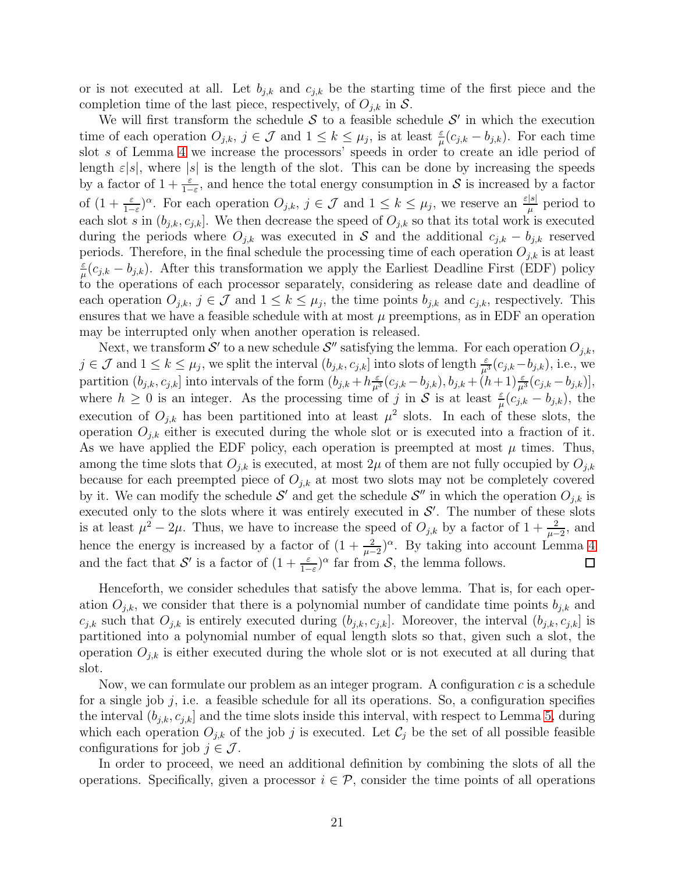or is not executed at all. Let  $b_{j,k}$  and  $c_{j,k}$  be the starting time of the first piece and the completion time of the last piece, respectively, of  $O_{i,k}$  in S.

We will first transform the schedule  $S$  to a feasible schedule  $S'$  in which the execution time of each operation  $O_{j,k}$ ,  $j \in \mathcal{J}$  and  $1 \leq k \leq \mu_j$ , is at least  $\frac{\varepsilon}{\mu}(c_{j,k} - b_{j,k})$ . For each time slot s of Lemma [4](#page-19-0) we increase the processors' speeds in order to create an idle period of length  $\varepsilon|s|$ , where  $|s|$  is the length of the slot. This can be done by increasing the speeds by a factor of  $1 + \frac{\varepsilon}{1-\varepsilon}$ , and hence the total energy consumption in S is increased by a factor of  $(1+\frac{\varepsilon}{1-\varepsilon})^{\alpha}$ . For each operation  $O_{j,k}$ ,  $j \in \mathcal{J}$  and  $1 \leq k \leq \mu_j$ , we reserve an  $\frac{\varepsilon|s|}{\mu}$  $\frac{1}{\mu}$  period to each slot s in  $(b_{j,k}, c_{j,k}]$ . We then decrease the speed of  $O_{j,k}$  so that its total work is executed during the periods where  $O_{i,k}$  was executed in S and the additional  $c_{i,k} - b_{i,k}$  reserved periods. Therefore, in the final schedule the processing time of each operation  $O_{j,k}$  is at least ε  $\frac{\varepsilon}{\mu}(c_{j,k} - b_{j,k})$ . After this transformation we apply the Earliest Deadline First (EDF) policy to the operations of each processor separately, considering as release date and deadline of each operation  $O_{j,k}$ ,  $j \in \mathcal{J}$  and  $1 \leq k \leq \mu_j$ , the time points  $b_{j,k}$  and  $c_{j,k}$ , respectively. This ensures that we have a feasible schedule with at most  $\mu$  preemptions, as in EDF an operation may be interrupted only when another operation is released.

Next, we transform  $\mathcal{S}'$  to a new schedule  $\mathcal{S}''$  satisfying the lemma. For each operation  $O_{j,k}$ ,  $j \in \mathcal{J}$  and  $1 \leq k \leq \mu_j$ , we split the interval  $(b_{j,k}, c_{j,k}]$  into slots of length  $\frac{\varepsilon}{\mu^3}(c_{j,k}-b_{j,k})$ , i.e., we partition  $(b_{j,k}, c_{j,k}]$  into intervals of the form  $(b_{j,k} + h \frac{\varepsilon}{\mu^3} (c_{j,k} - b_{j,k}), b_{j,k} + (h+1) \frac{\varepsilon}{\mu^3} (c_{j,k} - b_{j,k})],$ where  $h \geq 0$  is an integer. As the processing time of j in S is at least  $\frac{\varepsilon}{\mu}(c_{j,k} - b_{j,k})$ , the execution of  $O_{j,k}$  has been partitioned into at least  $\mu^2$  slots. In each of these slots, the operation  $O_{i,k}$  either is executed during the whole slot or is executed into a fraction of it. As we have applied the EDF policy, each operation is preempted at most  $\mu$  times. Thus, among the time slots that  $O_{j,k}$  is executed, at most  $2\mu$  of them are not fully occupied by  $O_{j,k}$ because for each preempted piece of  $O_{i,k}$  at most two slots may not be completely covered by it. We can modify the schedule  $\mathcal{S}'$  and get the schedule  $\mathcal{S}''$  in which the operation  $O_{j,k}$  is executed only to the slots where it was entirely executed in  $\mathcal{S}'$ . The number of these slots is at least  $\mu^2 - 2\mu$ . Thus, we have to increase the speed of  $O_{j,k}$  by a factor of  $1 + \frac{2}{\mu-2}$ , and hence the energy is increased by a factor of  $(1+\frac{2}{\mu-2})^{\alpha}$ . By taking into account Lemma [4](#page-19-0) and the fact that S' is a factor of  $(1 + \frac{\varepsilon}{1-\varepsilon})^{\alpha}$  far from S, the lemma follows.  $\Box$ 

Henceforth, we consider schedules that satisfy the above lemma. That is, for each operation  $O_{i,k}$ , we consider that there is a polynomial number of candidate time points  $b_{i,k}$  and  $c_{j,k}$  such that  $O_{j,k}$  is entirely executed during  $(b_{j,k}, c_{j,k}]$ . Moreover, the interval  $(b_{j,k}, c_{j,k}]$  is partitioned into a polynomial number of equal length slots so that, given such a slot, the operation  $O_{i,k}$  is either executed during the whole slot or is not executed at all during that slot.

Now, we can formulate our problem as an integer program. A configuration  $c$  is a schedule for a single job j, i.e. a feasible schedule for all its operations. So, a configuration specifies the interval  $(b_{j,k}, c_{j,k}]$  and the time slots inside this interval, with respect to Lemma [5,](#page-19-1) during which each operation  $O_{j,k}$  of the job j is executed. Let  $\mathcal{C}_j$  be the set of all possible feasible configurations for job  $j \in \mathcal{J}$ .

In order to proceed, we need an additional definition by combining the slots of all the operations. Specifically, given a processor  $i \in \mathcal{P}$ , consider the time points of all operations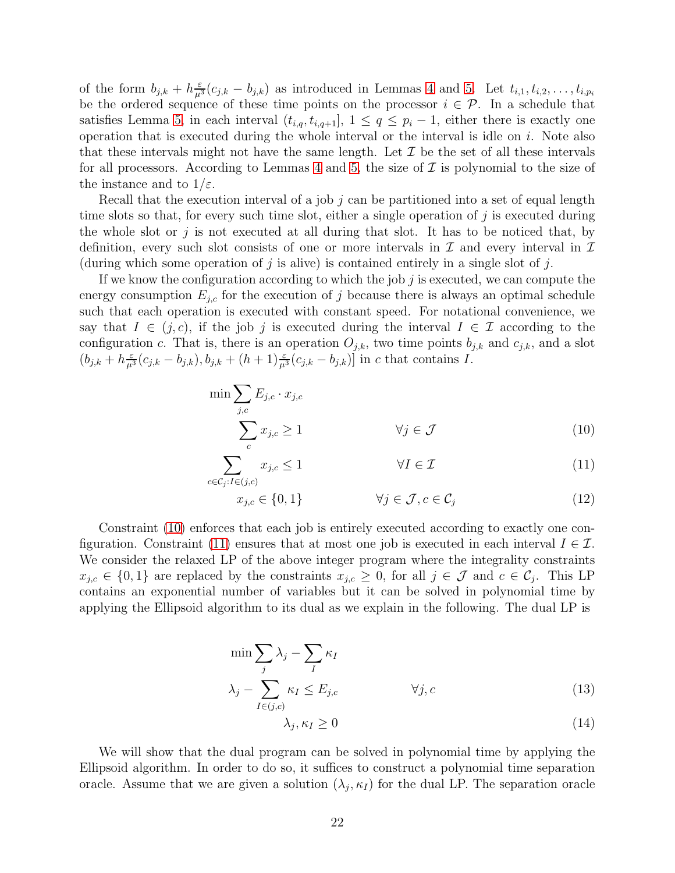of the form  $b_{j,k} + h_{\mu^3}^{\epsilon}(c_{j,k} - b_{j,k})$  as introduced in Lemmas [4](#page-19-0) and [5.](#page-19-1) Let  $t_{i,1}, t_{i,2}, \ldots, t_{i,p_i}$ be the ordered sequence of these time points on the processor  $i \in \mathcal{P}$ . In a schedule that satisfies Lemma [5,](#page-19-1) in each interval  $(t_{i,q}, t_{i,q+1}], 1 \leq q \leq p_i - 1$ , either there is exactly one operation that is executed during the whole interval or the interval is idle on  $i$ . Note also that these intervals might not have the same length. Let  $\mathcal I$  be the set of all these intervals for all processors. According to Lemmas [4](#page-19-0) and [5,](#page-19-1) the size of  $\mathcal I$  is polynomial to the size of the instance and to  $1/\varepsilon$ .

Recall that the execution interval of a job j can be partitioned into a set of equal length time slots so that, for every such time slot, either a single operation of  $j$  is executed during the whole slot or  $j$  is not executed at all during that slot. It has to be noticed that, by definition, every such slot consists of one or more intervals in  $\mathcal I$  and every interval in  $\mathcal I$ (during which some operation of  $j$  is alive) is contained entirely in a single slot of  $j$ .

If we know the configuration according to which the job  $j$  is executed, we can compute the energy consumption  $E_{j,c}$  for the execution of j because there is always an optimal schedule such that each operation is executed with constant speed. For notational convenience, we say that  $I \in (j, c)$ , if the job j is executed during the interval  $I \in \mathcal{I}$  according to the configuration c. That is, there is an operation  $O_{j,k}$ , two time points  $b_{j,k}$  and  $c_{j,k}$ , and a slot  $(b_{j,k} + h_{\mu^3}(c_{j,k} - b_{j,k}), b_{j,k} + (h+1)_{\mu^3}(c_{j,k} - b_{j,k})$  in c that contains I.

<span id="page-21-0"></span>
$$
\min \sum_{j,c} E_{j,c} \cdot x_{j,c}
$$
\n
$$
\sum_{c} x_{j,c} \ge 1 \qquad \forall j \in \mathcal{J}
$$
\n(10)

$$
\sum_{c \in \mathcal{C}_j : I \in (j,c)} x_{j,c} \le 1 \qquad \forall I \in \mathcal{I} \tag{11}
$$

$$
x_{j,c} \in \{0,1\} \qquad \forall j \in \mathcal{J}, c \in \mathcal{C}_j \tag{12}
$$

Constraint [\(10\)](#page-21-0) enforces that each job is entirely executed according to exactly one con-figuration. Constraint [\(11\)](#page-21-0) ensures that at most one job is executed in each interval  $I \in \mathcal{I}$ . We consider the relaxed LP of the above integer program where the integrality constraints  $x_{j,c} \in \{0,1\}$  are replaced by the constraints  $x_{j,c} \geq 0$ , for all  $j \in \mathcal{J}$  and  $c \in \mathcal{C}_j$ . This LP contains an exponential number of variables but it can be solved in polynomial time by applying the Ellipsoid algorithm to its dual as we explain in the following. The dual LP is

$$
\min \sum_{j} \lambda_{j} - \sum_{I} \kappa_{I} \n\lambda_{j} - \sum_{I \in (j,c)} \kappa_{I} \le E_{j,c} \qquad \forall j, c
$$
\n(13)

$$
\lambda_j, \kappa_I \ge 0 \tag{14}
$$

We will show that the dual program can be solved in polynomial time by applying the Ellipsoid algorithm. In order to do so, it suffices to construct a polynomial time separation oracle. Assume that we are given a solution  $(\lambda_j, \kappa_l)$  for the dual LP. The separation oracle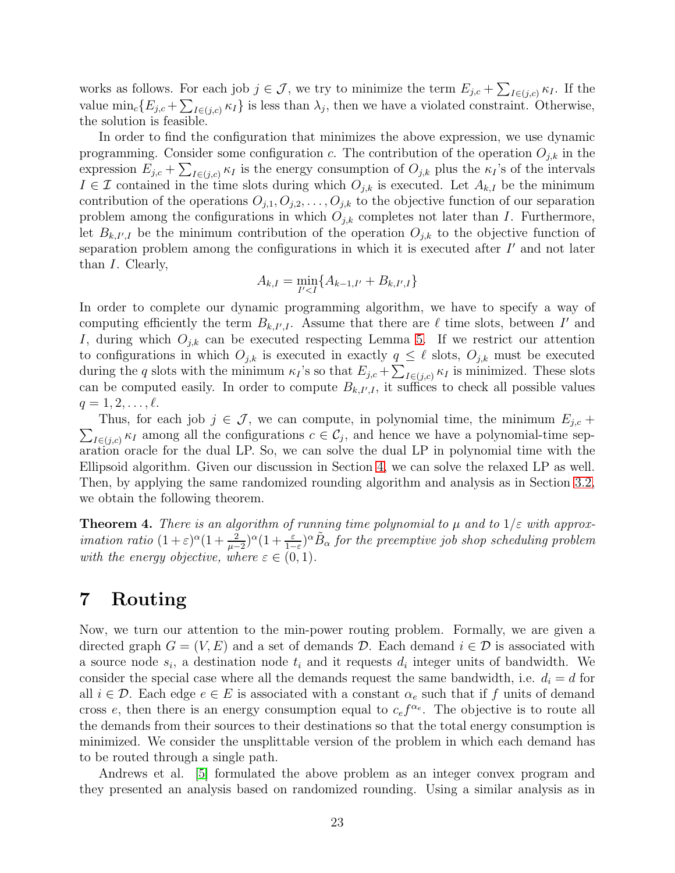works as follows. For each job  $j \in \mathcal{J}$ , we try to minimize the term  $E_{j,c} + \sum_{I \in (j,c)} \kappa_I$ . If the value  $\min_c \{E_{j,c} + \sum_{I \in (j,c)} \kappa_I\}$  is less than  $\lambda_j$ , then we have a violated constraint. Otherwise, the solution is feasible.

In order to find the configuration that minimizes the above expression, we use dynamic programming. Consider some configuration c. The contribution of the operation  $O_{j,k}$  in the expression  $E_{j,c} + \sum_{I \in (j,c)} \kappa_I$  is the energy consumption of  $O_{j,k}$  plus the  $\kappa_I$ 's of the intervals  $I \in \mathcal{I}$  contained in the time slots during which  $O_{j,k}$  is executed. Let  $A_{k,I}$  be the minimum contribution of the operations  $O_{j,1}, O_{j,2}, \ldots, O_{j,k}$  to the objective function of our separation problem among the configurations in which  $O_{j,k}$  completes not later than I. Furthermore, let  $B_{k,I',I}$  be the minimum contribution of the operation  $O_{j,k}$  to the objective function of separation problem among the configurations in which it is executed after I' and not later than I. Clearly,

$$
A_{k,I} = \min_{I' < I} \{ A_{k-1,I'} + B_{k,I',I} \}
$$

In order to complete our dynamic programming algorithm, we have to specify a way of computing efficiently the term  $B_{k,I',I}$ . Assume that there are  $\ell$  time slots, between  $I'$  and I, during which  $O_{j,k}$  can be executed respecting Lemma [5.](#page-19-1) If we restrict our attention to configurations in which  $O_{j,k}$  is executed in exactly  $q \leq \ell$  slots,  $O_{j,k}$  must be executed during the q slots with the minimum  $\kappa_I$ 's so that  $E_{j,c} + \sum_{I \in (j,c)} \kappa_I$  is minimized. These slots can be computed easily. In order to compute  $B_{k,I',I}$ , it suffices to check all possible values  $q = 1, 2, \ldots, \ell$ .

 $\sum_{I \in (j,c)} \kappa_I$  among all the configurations  $c \in C_j$ , and hence we have a polynomial-time sep-Thus, for each job  $j \in \mathcal{J}$ , we can compute, in polynomial time, the minimum  $E_{j,c}$  + aration oracle for the dual LP. So, we can solve the dual LP in polynomial time with the Ellipsoid algorithm. Given our discussion in Section [4,](#page-14-0) we can solve the relaxed LP as well. Then, by applying the same randomized rounding algorithm and analysis as in Section [3.2,](#page-9-3) we obtain the following theorem.

**Theorem 4.** There is an algorithm of running time polynomial to  $\mu$  and to  $1/\varepsilon$  with approx*imation ratio*  $(1+\varepsilon)^{\alpha}(1+\frac{2}{\mu-2})^{\alpha}(1+\frac{\varepsilon}{1-\varepsilon})^{\alpha}\tilde{B}_{\alpha}$  *for the preemptive job shop scheduling problem* with the energy objective, where  $\varepsilon \in (0,1)$ .

### <span id="page-22-0"></span>7 Routing

Now, we turn our attention to the min-power routing problem. Formally, we are given a directed graph  $G = (V, E)$  and a set of demands D. Each demand  $i \in \mathcal{D}$  is associated with a source node  $s_i$ , a destination node  $t_i$  and it requests  $d_i$  integer units of bandwidth. We consider the special case where all the demands request the same bandwidth, i.e.  $d_i = d$  for all  $i \in \mathcal{D}$ . Each edge  $e \in E$  is associated with a constant  $\alpha_e$  such that if f units of demand cross e, then there is an energy consumption equal to  $c<sub>e</sub> f<sup>\alpha<sub>e</sub></sup>$ . The objective is to route all the demands from their sources to their destinations so that the total energy consumption is minimized. We consider the unsplittable version of the problem in which each demand has to be routed through a single path.

Andrews et al. [\[5\]](#page-25-3) formulated the above problem as an integer convex program and they presented an analysis based on randomized rounding. Using a similar analysis as in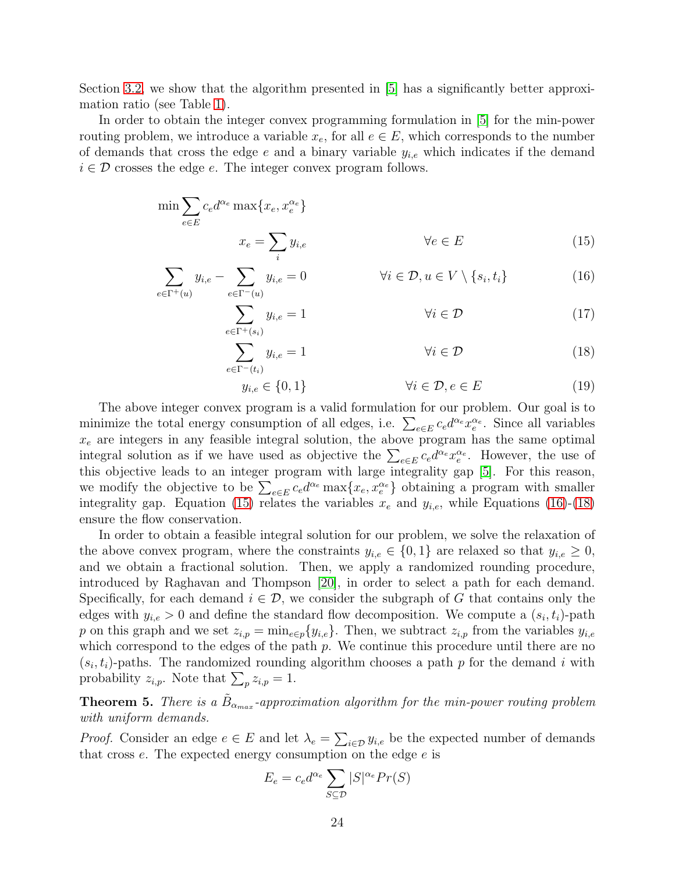Section [3.2,](#page-9-3) we show that the algorithm presented in [\[5\]](#page-25-3) has a significantly better approximation ratio (see Table [1\)](#page-3-0).

In order to obtain the integer convex programming formulation in [\[5\]](#page-25-3) for the min-power routing problem, we introduce a variable  $x_e$ , for all  $e \in E$ , which corresponds to the number of demands that cross the edge e and a binary variable  $y_{i,e}$  which indicates if the demand  $i \in \mathcal{D}$  crosses the edge e. The integer convex program follows.

<span id="page-23-0"></span>
$$
\min \sum_{e \in E} c_e d^{\alpha_e} \max \{ x_e, x_e^{\alpha_e} \}
$$
  

$$
x_e = \sum_i y_{i,e} \qquad \forall e \in E
$$
 (15)

$$
\sum_{e \in \Gamma^+(u)} y_{i,e} - \sum_{e \in \Gamma^-(u)} y_{i,e} = 0 \qquad \qquad \forall i \in \mathcal{D}, u \in V \setminus \{s_i, t_i\} \tag{16}
$$

$$
\sum_{e \in \Gamma^+(s_i)} y_{i,e} = 1 \qquad \qquad \forall i \in \mathcal{D} \tag{17}
$$

$$
\sum_{e \in \Gamma^-(t_i)} y_{i,e} = 1 \qquad \qquad \forall i \in \mathcal{D} \tag{18}
$$

$$
y_{i,e} \in \{0,1\} \qquad \forall i \in \mathcal{D}, e \in E \tag{19}
$$

The above integer convex program is a valid formulation for our problem. Our goal is to minimize the total energy consumption of all edges, i.e.  $\sum_{e \in E} c_e d^{\alpha_e} x_e^{\alpha_e}$ . Since all variables  $x_e$  are integers in any feasible integral solution, the above program has the same optimal integral solution as if we have used as objective the  $\sum_{e \in E} c_e d^{\alpha_e} x_e^{\alpha_e}$ . However, the use of this objective leads to an integer program with large integrality gap [\[5\]](#page-25-3). For this reason, we modify the objective to be  $\sum_{e \in E} c_e d^{\alpha_e} \max\{x_e, x_e^{\alpha_e}\}$  obtaining a program with smaller integrality gap. Equation [\(15\)](#page-23-0) relates the variables  $x_e$  and  $y_{i,e}$ , while Equations [\(16\)](#page-23-0)-[\(18\)](#page-23-0) ensure the flow conservation.

In order to obtain a feasible integral solution for our problem, we solve the relaxation of the above convex program, where the constraints  $y_{i,e} \in \{0,1\}$  are relaxed so that  $y_{i,e} \geq 0$ , and we obtain a fractional solution. Then, we apply a randomized rounding procedure, introduced by Raghavan and Thompson [\[20\]](#page-26-6), in order to select a path for each demand. Specifically, for each demand  $i \in \mathcal{D}$ , we consider the subgraph of G that contains only the edges with  $y_{i,e} > 0$  and define the standard flow decomposition. We compute a  $(s_i, t_i)$ -path p on this graph and we set  $z_{i,p} = \min_{e \in p} \{y_{i,e}\}.$  Then, we subtract  $z_{i,p}$  from the variables  $y_{i,e}$ which correspond to the edges of the path  $p$ . We continue this procedure until there are no  $(s_i, t_i)$ -paths. The randomized rounding algorithm chooses a path p for the demand i with probability  $z_{i,p}$ . Note that  $\sum_{p} z_{i,p} = 1$ .

**Theorem 5.** There is a  $\tilde{B}_{\alpha_{max}}$ -approximation algorithm for the min-power routing problem with uniform demands.

*Proof.* Consider an edge  $e \in E$  and let  $\lambda_e = \sum_{i \in \mathcal{D}} y_{i,e}$  be the expected number of demands that cross  $e$ . The expected energy consumption on the edge  $e$  is

$$
E_e = c_e d^{\alpha_e} \sum_{S \subseteq \mathcal{D}} |S|^{\alpha_e} Pr(S)
$$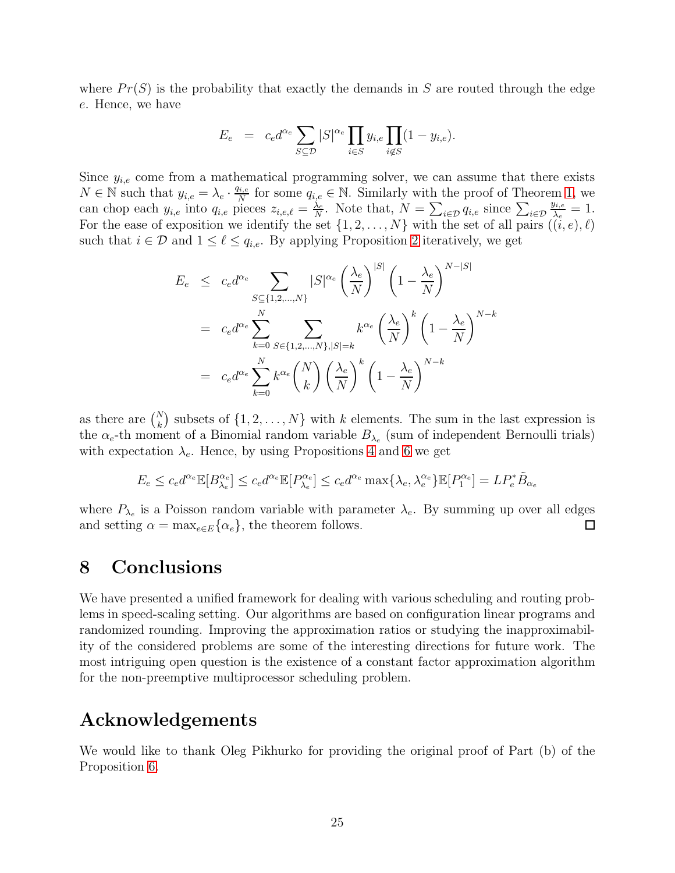where  $Pr(S)$  is the probability that exactly the demands in S are routed through the edge e. Hence, we have

$$
E_e = c_e d^{\alpha_e} \sum_{S \subseteq \mathcal{D}} |S|^{\alpha_e} \prod_{i \in S} y_{i,e} \prod_{i \notin S} (1 - y_{i,e}).
$$

Since  $y_{i,e}$  come from a mathematical programming solver, we can assume that there exists  $N \in \mathbb{N}$  such that  $y_{i,e} = \lambda_e \cdot \frac{q_{i,e}}{N}$  $\frac{q_{i,e}}{N}$  for some  $q_{i,e} \in \mathbb{N}$ . Similarly with the proof of Theorem [1,](#page-9-2) we can chop each  $y_{i,e}$  into  $q_{i,e}$  pieces  $z_{i,e,\ell} = \frac{\lambda_e}{N}$  $\frac{\lambda_e}{N}$ . Note that,  $N = \sum_{i \in \mathcal{D}} q_{i,e}$  since  $\sum_{i \in \mathcal{D}}$  $y_{i,e}$  $\frac{y_{i,e}}{\lambda_e}=1.$ For the ease of exposition we identify the set  $\{1, 2, \ldots, N\}$  with the set of all pairs  $((i, e), \ell)$ such that  $i \in \mathcal{D}$  and  $1 \leq \ell \leq q_{i,e}$ . By applying Proposition [2](#page-4-1) iteratively, we get

$$
E_e \leq c_e d^{\alpha_e} \sum_{S \subseteq \{1, 2, ..., N\}} |S|^{\alpha_e} \left(\frac{\lambda_e}{N}\right)^{|S|} \left(1 - \frac{\lambda_e}{N}\right)^{N - |S|}
$$
  
=  $c_e d^{\alpha_e} \sum_{k=0}^N \sum_{S \in \{1, 2, ..., N\}, |S| = k} k^{\alpha_e} \left(\frac{\lambda_e}{N}\right)^k \left(1 - \frac{\lambda_e}{N}\right)^{N - k}$   
=  $c_e d^{\alpha_e} \sum_{k=0}^N k^{\alpha_e} {N \choose k} \left(\frac{\lambda_e}{N}\right)^k \left(1 - \frac{\lambda_e}{N}\right)^{N - k}$ 

as there are  $\binom{N}{k}$  subsets of  $\{1, 2, ..., N\}$  with k elements. The sum in the last expression is the  $\alpha_e$ -th moment of a Binomial random variable  $B_{\lambda_e}$  (sum of independent Bernoulli trials) with expectation  $\lambda_e$ . Hence, by using Propositions [4](#page-5-1) and [6](#page-6-0) we get

$$
E_e \le c_e d^{\alpha_e} \mathbb{E}[B_{\lambda_e}^{\alpha_e}] \le c_e d^{\alpha_e} \mathbb{E}[P_{\lambda_e}^{\alpha_e}] \le c_e d^{\alpha_e} \max\{\lambda_e, \lambda_e^{\alpha_e}\} \mathbb{E}[P_1^{\alpha_e}] = LP_e^* \tilde{B}_{\alpha_e}
$$

where  $P_{\lambda_e}$  is a Poisson random variable with parameter  $\lambda_e$ . By summing up over all edges and setting  $\alpha = \max_{e \in E} {\alpha_e}$ , the theorem follows.  $\Box$ 

# 8 Conclusions

We have presented a unified framework for dealing with various scheduling and routing problems in speed-scaling setting. Our algorithms are based on configuration linear programs and randomized rounding. Improving the approximation ratios or studying the inapproximability of the considered problems are some of the interesting directions for future work. The most intriguing open question is the existence of a constant factor approximation algorithm for the non-preemptive multiprocessor scheduling problem.

# Acknowledgements

We would like to thank Oleg Pikhurko for providing the original proof of Part (b) of the Proposition [6.](#page-6-0)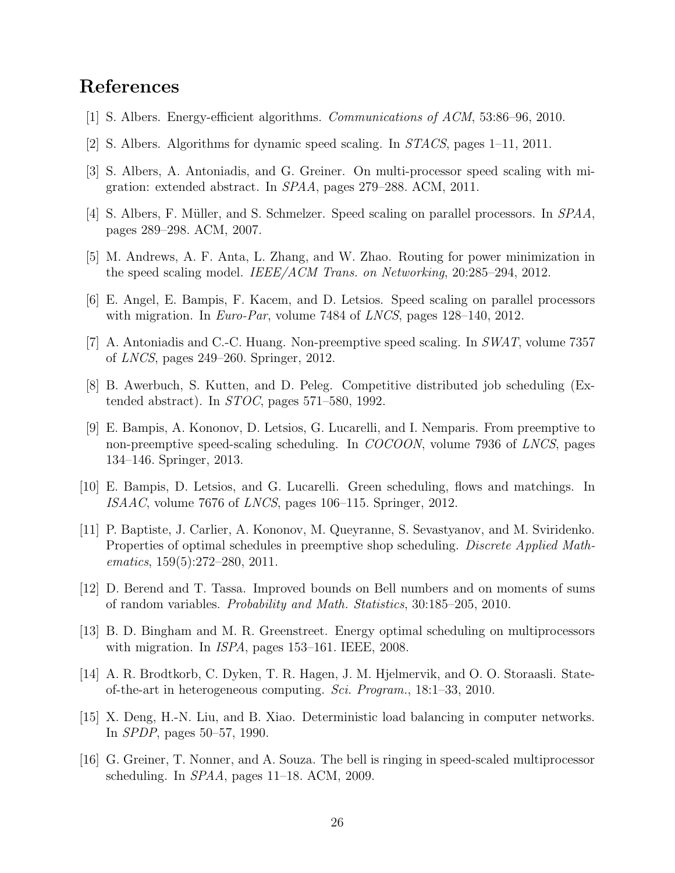# <span id="page-25-12"></span>References

- <span id="page-25-13"></span>[1] S. Albers. Energy-efficient algorithms. Communications of ACM, 53:86–96, 2010.
- <span id="page-25-4"></span>[2] S. Albers. Algorithms for dynamic speed scaling. In STACS, pages 1–11, 2011.
- <span id="page-25-8"></span>[3] S. Albers, A. Antoniadis, and G. Greiner. On multi-processor speed scaling with migration: extended abstract. In SPAA, pages 279–288. ACM, 2011.
- <span id="page-25-3"></span>[4] S. Albers, F. Müller, and S. Schmelzer. Speed scaling on parallel processors. In SPAA, pages 289–298. ACM, 2007.
- <span id="page-25-5"></span>[5] M. Andrews, A. F. Anta, L. Zhang, and W. Zhao. Routing for power minimization in the speed scaling model. IEEE/ACM Trans. on Networking, 20:285–294, 2012.
- <span id="page-25-10"></span>[6] E. Angel, E. Bampis, F. Kacem, and D. Letsios. Speed scaling on parallel processors with migration. In *Euro-Par*, volume 7484 of *LNCS*, pages  $128-140$ ,  $2012$ .
- <span id="page-25-1"></span>[7] A. Antoniadis and C.-C. Huang. Non-preemptive speed scaling. In SWAT, volume 7357 of LNCS, pages 249–260. Springer, 2012.
- <span id="page-25-11"></span>[8] B. Awerbuch, S. Kutten, and D. Peleg. Competitive distributed job scheduling (Extended abstract). In  $STOC$ , pages 571–580, 1992.
- [9] E. Bampis, A. Kononov, D. Letsios, G. Lucarelli, and I. Nemparis. From preemptive to non-preemptive speed-scaling scheduling. In COCOON, volume 7936 of LNCS, pages 134–146. Springer, 2013.
- <span id="page-25-15"></span><span id="page-25-6"></span>[10] E. Bampis, D. Letsios, and G. Lucarelli. Green scheduling, flows and matchings. In ISAAC, volume 7676 of LNCS, pages 106–115. Springer, 2012.
- [11] P. Baptiste, J. Carlier, A. Kononov, M. Queyranne, S. Sevastyanov, and M. Sviridenko. Properties of optimal schedules in preemptive shop scheduling. Discrete Applied Mathematics, 159(5):272–280, 2011.
- <span id="page-25-14"></span><span id="page-25-7"></span>[12] D. Berend and T. Tassa. Improved bounds on Bell numbers and on moments of sums of random variables. Probability and Math. Statistics, 30:185–205, 2010.
- [13] B. D. Bingham and M. R. Greenstreet. Energy optimal scheduling on multiprocessors with migration. In *ISPA*, pages 153–161. IEEE, 2008.
- <span id="page-25-0"></span>[14] A. R. Brodtkorb, C. Dyken, T. R. Hagen, J. M. Hjelmervik, and O. O. Storaasli. Stateof-the-art in heterogeneous computing. Sci. Program., 18:1–33, 2010.
- <span id="page-25-2"></span>[15] X. Deng, H.-N. Liu, and B. Xiao. Deterministic load balancing in computer networks. In SPDP, pages 50–57, 1990.
- <span id="page-25-9"></span>[16] G. Greiner, T. Nonner, and A. Souza. The bell is ringing in speed-scaled multiprocessor scheduling. In *SPAA*, pages 11–18. ACM, 2009.